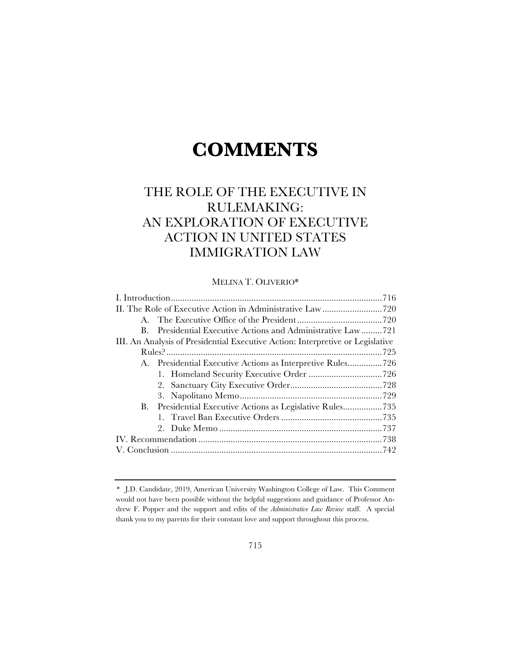# **COMMENTS**

# THE ROLE OF THE EXECUTIVE IN RULEMAKING: AN EXPLORATION OF EXECUTIVE ACTION IN UNITED STATES IMMIGRATION LAW

# MELINA T. OLIVERIO\*

| B.                                                                             | Presidential Executive Actions and Administrative Law721   |  |
|--------------------------------------------------------------------------------|------------------------------------------------------------|--|
| III. An Analysis of Presidential Executive Action: Interpretive or Legislative |                                                            |  |
|                                                                                |                                                            |  |
|                                                                                | A. Presidential Executive Actions as Interpretive Rules726 |  |
|                                                                                |                                                            |  |
|                                                                                |                                                            |  |
|                                                                                |                                                            |  |
|                                                                                |                                                            |  |
|                                                                                |                                                            |  |
|                                                                                |                                                            |  |
|                                                                                |                                                            |  |
|                                                                                |                                                            |  |
|                                                                                |                                                            |  |

*<sup>\*</sup>* J.D. Candidate, 2019, American University Washington College of Law. This Comment would not have been possible without the helpful suggestions and guidance of Professor Andrew F. Popper and the support and edits of the *Administrative Law Review* staff. A special thank you to my parents for their constant love and support throughout this process.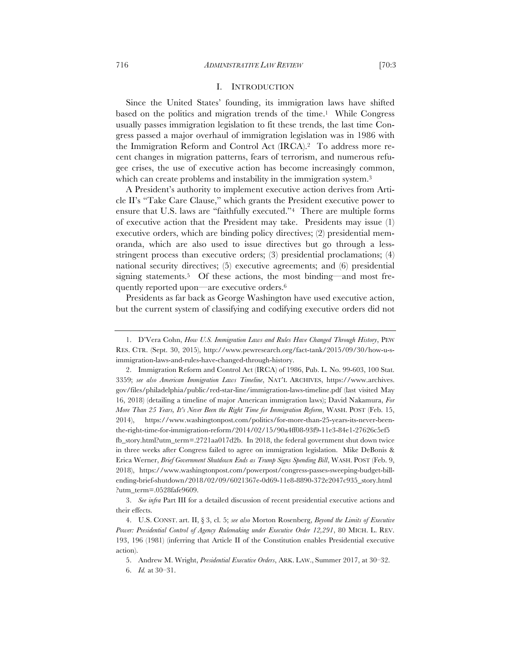### I. INTRODUCTION

Since the United States' founding, its immigration laws have shifted based on the politics and migration trends of the time.<sup>1</sup> While Congress usually passes immigration legislation to fit these trends, the last time Congress passed a major overhaul of immigration legislation was in 1986 with the Immigration Reform and Control Act (IRCA).2 To address more recent changes in migration patterns, fears of terrorism, and numerous refugee crises, the use of executive action has become increasingly common, which can create problems and instability in the immigration system.<sup>3</sup>

A President's authority to implement executive action derives from Article II's "Take Care Clause," which grants the President executive power to ensure that U.S. laws are "faithfully executed."4 There are multiple forms of executive action that the President may take. Presidents may issue (1) executive orders, which are binding policy directives; (2) presidential memoranda, which are also used to issue directives but go through a lessstringent process than executive orders; (3) presidential proclamations; (4) national security directives; (5) executive agreements; and (6) presidential signing statements.<sup>5</sup> Of these actions, the most binding—and most frequently reported upon—are executive orders.6

Presidents as far back as George Washington have used executive action, but the current system of classifying and codifying executive orders did not

<sup>1.</sup> D'Vera Cohn, *How U.S. Immigration Laws and Rules Have Changed Through History*, PEW RES. CTR. (Sept. 30, 2015), http://www.pewresearch.org/fact-tank/2015/09/30/how-u-simmigration-laws-and-rules-have-changed-through-history.

<sup>2.</sup> Immigration Reform and Control Act (IRCA) of 1986, Pub. L. No. 99-603, 100 Stat. 3359; *see also American Immigration Laws Timeline*, NAT'L ARCHIVES, https://www.archives. gov/files/philadelphia/public/red-star-line/immigration-laws-timeline.pdf (last visited May 16, 2018) (detailing a timeline of major American immigration laws); David Nakamura, *For More Than 25 Years, It's Never Been the Right Time for Immigration Reform*, WASH. POST (Feb. 15, 2014), https://www.washingtonpost.com/politics/for-more-than-25-years-its-never-beenthe-right-time-for-immigration-reform/2014/02/15/90a4ff08-93f9-11e3-84e1-27626c5ef5 fb\_story.html?utm\_term=.2721aa017d2b. In 2018, the federal government shut down twice in three weeks after Congress failed to agree on immigration legislation. Mike DeBonis & Erica Werner, *Brief Government Shutdown Ends as Trump Signs Spending Bill*, WASH. POST (Feb. 9, 2018), https://www.washingtonpost.com/powerpost/congress-passes-sweeping-budget-billending-brief-shutdown/2018/02/09/6021367e-0d69-11e8-8890-372e2047c935\_story.html ?utm\_term=.0528fafe9609.

<sup>3.</sup> *See infra* Part III for a detailed discussion of recent presidential executive actions and their effects.

<sup>4.</sup> U.S. CONST. art. II, § 3, cl. 5; *see also* Morton Rosenberg, *Beyond the Limits of Executive Power: Presidential Control of Agency Rulemaking under Executive Order 12,291*, 80 MICH. L. REV. 193, 196 (1981) (inferring that Article II of the Constitution enables Presidential executive action).

<sup>5.</sup> Andrew M. Wright, *Presidential Executive Orders*, ARK. LAW., Summer 2017, at 30–32.

<sup>6.</sup> *Id.* at 30–31.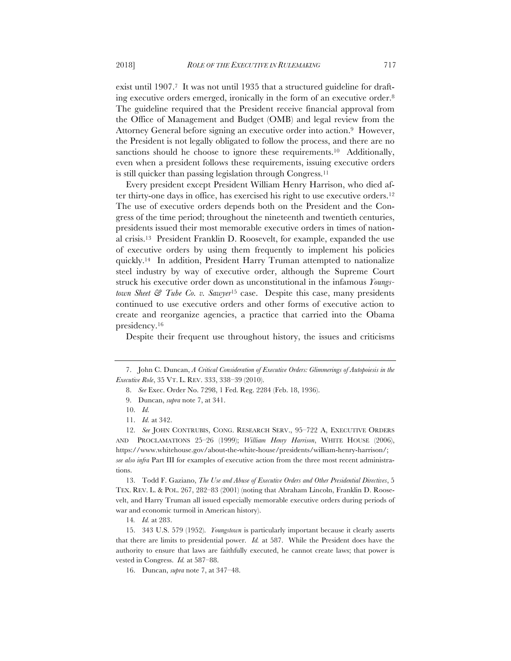exist until 1907.<sup>7</sup> It was not until 1935 that a structured guideline for drafting executive orders emerged, ironically in the form of an executive order.8 The guideline required that the President receive financial approval from the Office of Management and Budget (OMB) and legal review from the Attorney General before signing an executive order into action.9 However, the President is not legally obligated to follow the process, and there are no sanctions should he choose to ignore these requirements.<sup>10</sup> Additionally, even when a president follows these requirements, issuing executive orders is still quicker than passing legislation through Congress.<sup>11</sup>

Every president except President William Henry Harrison, who died after thirty-one days in office, has exercised his right to use executive orders.12 The use of executive orders depends both on the President and the Congress of the time period; throughout the nineteenth and twentieth centuries, presidents issued their most memorable executive orders in times of national crisis.13 President Franklin D. Roosevelt, for example, expanded the use of executive orders by using them frequently to implement his policies quickly.14 In addition, President Harry Truman attempted to nationalize steel industry by way of executive order, although the Supreme Court struck his executive order down as unconstitutional in the infamous *Youngstown Sheet & Tube Co. v. Sawyer*<sup>15</sup> case. Despite this case, many presidents continued to use executive orders and other forms of executive action to create and reorganize agencies, a practice that carried into the Obama presidency.16

Despite their frequent use throughout history, the issues and criticisms

13. Todd F. Gaziano, *The Use and Abuse of Executive Orders and Other Presidential Directives*, 5 TEX. REV. L. & POL. 267, 282–83 (2001) (noting that Abraham Lincoln, Franklin D. Roosevelt, and Harry Truman all issued especially memorable executive orders during periods of war and economic turmoil in American history).

14*. Id.* at 283.

15. 343 U.S. 579 (1952). *Youngstown* is particularly important because it clearly asserts that there are limits to presidential power. *Id.* at 587. While the President does have the authority to ensure that laws are faithfully executed, he cannot create laws; that power is vested in Congress. *Id.* at 587–88.

16. Duncan, *supra* note 7, at 347–48.

<sup>7.</sup> John C. Duncan, *A Critical Consideration of Executive Orders: Glimmerings of Autopoiesis in the Executive Role*, 35 VT. L. REV. 333, 338–39 (2010).

<sup>8.</sup> *See* Exec. Order No. 7298, 1 Fed. Reg. 2284 (Feb. 18, 1936).

<sup>9.</sup> Duncan, *supra* note 7, at 341.

<sup>10.</sup> *Id.*

<sup>11.</sup> *Id.* at 342.

<sup>12.</sup> *See* JOHN CONTRUBIS, CONG. RESEARCH SERV., 95–722 A, EXECUTIVE ORDERS AND PROCLAMATIONS 25–26 (1999); *William Henry Harrison*, WHITE HOUSE (2006), https://www.whitehouse.gov/about-the-white-house/presidents/william-henry-harrison/; *see also infra* Part III for examples of executive action from the three most recent administrations.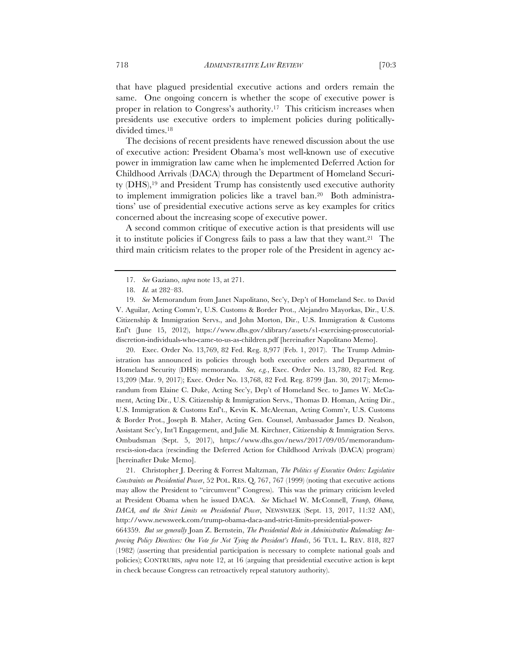that have plagued presidential executive actions and orders remain the same. One ongoing concern is whether the scope of executive power is proper in relation to Congress's authority.17 This criticism increases when presidents use executive orders to implement policies during politicallydivided times.18

The decisions of recent presidents have renewed discussion about the use of executive action: President Obama's most well-known use of executive power in immigration law came when he implemented Deferred Action for Childhood Arrivals (DACA) through the Department of Homeland Security (DHS),19 and President Trump has consistently used executive authority to implement immigration policies like a travel ban.20 Both administrations' use of presidential executive actions serve as key examples for critics concerned about the increasing scope of executive power.

A second common critique of executive action is that presidents will use it to institute policies if Congress fails to pass a law that they want.21 The third main criticism relates to the proper role of the President in agency ac-

20. Exec. Order No. 13,769, 82 Fed. Reg. 8,977 (Feb. 1, 2017). The Trump Administration has announced its policies through both executive orders and Department of Homeland Security (DHS) memoranda. *See, e.g.*, Exec. Order No. 13,780, 82 Fed. Reg. 13,209 (Mar. 9, 2017); Exec. Order No. 13,768, 82 Fed. Reg. 8799 (Jan. 30, 2017); Memorandum from Elaine C. Duke, Acting Sec'y, Dep't of Homeland Sec. to James W. McCament, Acting Dir., U.S. Citizenship & Immigration Servs., Thomas D. Homan, Acting Dir., U.S. Immigration & Customs Enf't., Kevin K. McAleenan, Acting Comm'r, U.S. Customs & Border Prot., Joseph B. Maher, Acting Gen. Counsel, Ambassador James D. Nealson, Assistant Sec'y, Int'l Engagement, and Julie M. Kirchner, Citizenship & Immigration Servs. Ombudsman (Sept. 5, 2017), https://www.dhs.gov/news/2017/09/05/memorandumrescis-sion-daca (rescinding the Deferred Action for Childhood Arrivals (DACA) program) [hereinafter Duke Memo].

21. Christopher J. Deering & Forrest Maltzman, *The Politics of Executive Orders: Legislative Constraints on Presidential Power*, 52 POL. RES. Q. 767, 767 (1999) (noting that executive actions may allow the President to "circumvent" Congress). This was the primary criticism leveled at President Obama when he issued DACA. *See* Michael W. McConnell, *Trump, Obama, DACA, and the Strict Limits on Presidential Power*, NEWSWEEK (Sept. 13, 2017, 11:32 AM), http://www.newsweek.com/trump-obama-daca-and-strict-limits-presidential-power-

664359. *But see generally* Joan Z. Bernstein, *The Presidential Role in Administrative Rulemaking: Improving Policy Directives: One Vote for Not Tying the President's Hands*, 56 TUL. L. REV. 818, 827 (1982) (asserting that presidential participation is necessary to complete national goals and policies); CONTRUBIS, *supra* note 12, at 16 (arguing that presidential executive action is kept in check because Congress can retroactively repeal statutory authority).

<sup>17.</sup> *See* Gaziano, *supra* note 13, at 271.

<sup>18.</sup> *Id.* at 282–83.

<sup>19.</sup> *See* Memorandum from Janet Napolitano, Sec'y, Dep't of Homeland Sec. to David V. Aguilar, Acting Comm'r, U.S. Customs & Border Prot., Alejandro Mayorkas, Dir., U.S. Citizenship & Immigration Servs., and John Morton, Dir., U.S. Immigration & Customs Enf't (June 15, 2012), https://www.dhs.gov/xlibrary/assets/s1-exercising-prosecutorialdiscretion-individuals-who-came-to-us-as-children.pdf [hereinafter Napolitano Memo].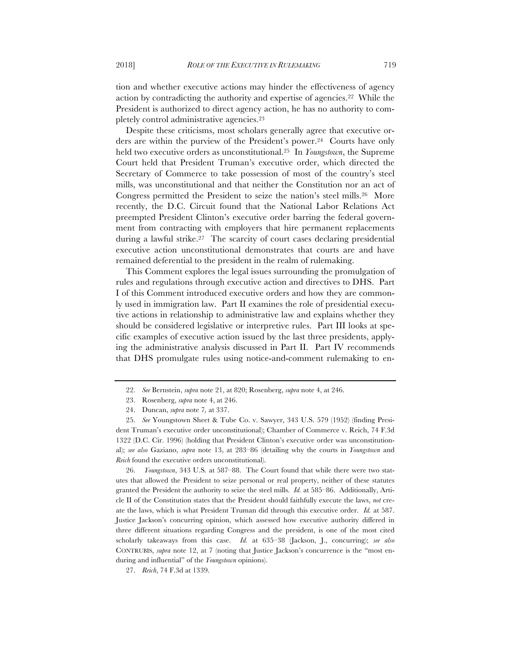tion and whether executive actions may hinder the effectiveness of agency action by contradicting the authority and expertise of agencies.22 While the President is authorized to direct agency action, he has no authority to completely control administrative agencies.23

Despite these criticisms, most scholars generally agree that executive orders are within the purview of the President's power.24 Courts have only held two executive orders as unconstitutional.25 In *Youngstown*, the Supreme Court held that President Truman's executive order, which directed the Secretary of Commerce to take possession of most of the country's steel mills, was unconstitutional and that neither the Constitution nor an act of Congress permitted the President to seize the nation's steel mills.26 More recently, the D.C. Circuit found that the National Labor Relations Act preempted President Clinton's executive order barring the federal government from contracting with employers that hire permanent replacements during a lawful strike.<sup>27</sup> The scarcity of court cases declaring presidential executive action unconstitutional demonstrates that courts are and have remained deferential to the president in the realm of rulemaking.

This Comment explores the legal issues surrounding the promulgation of rules and regulations through executive action and directives to DHS. Part I of this Comment introduced executive orders and how they are commonly used in immigration law. Part II examines the role of presidential executive actions in relationship to administrative law and explains whether they should be considered legislative or interpretive rules. Part III looks at specific examples of executive action issued by the last three presidents, applying the administrative analysis discussed in Part II. Part IV recommends that DHS promulgate rules using notice-and-comment rulemaking to en-

26. *Youngstown*, 343 U.S*.* at 587–88. The Court found that while there were two statutes that allowed the President to seize personal or real property, neither of these statutes granted the President the authority to seize the steel mills. *Id.* at 585–86. Additionally, Article II of the Constitution states that the President should faithfully execute the laws, *not* create the laws, which is what President Truman did through this executive order. *Id.* at 587. Justice Jackson's concurring opinion, which assessed how executive authority differed in three different situations regarding Congress and the president, is one of the most cited scholarly takeaways from this case. *Id.* at 635–38 (Jackson, J., concurring); *see also* CONTRUBIS, *supra* note 12, at 7 (noting that Justice Jackson's concurrence is the "most enduring and influential" of the *Youngstown* opinions).

27. *Reich*, 74 F.3d at 1339.

<sup>22.</sup> *See* Bernstein, *supra* note 21, at 820; Rosenberg, *supra* note 4, at 246.

<sup>23.</sup> Rosenberg, *supra* note 4, at 246.

<sup>24.</sup> Duncan, *supra* note 7*,* at 337.

<sup>25.</sup> *See* Youngstown Sheet & Tube Co. v. Sawyer, 343 U.S. 579 (1952) (finding President Truman's executive order unconstitutional); Chamber of Commerce v. Reich, 74 F.3d 1322 (D.C. Cir. 1996) (holding that President Clinton's executive order was unconstitutional); *see also* Gaziano, *supra* note 13, at 283–86 (detailing why the courts in *Youngstown* and *Reich* found the executive orders unconstitutional).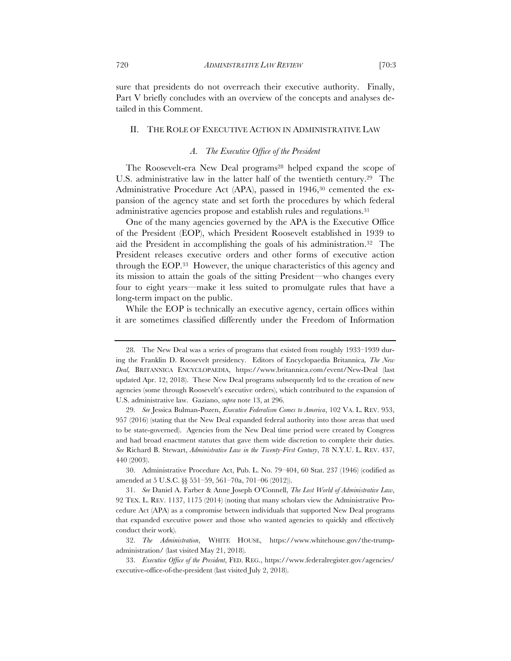sure that presidents do not overreach their executive authority. Finally, Part V briefly concludes with an overview of the concepts and analyses detailed in this Comment.

#### II. THE ROLE OF EXECUTIVE ACTION IN ADMINISTRATIVE LAW

# *A. The Executive Office of the President*

The Roosevelt-era New Deal programs<sup>28</sup> helped expand the scope of U.S. administrative law in the latter half of the twentieth century.29 The Administrative Procedure Act (APA), passed in 1946,<sup>30</sup> cemented the expansion of the agency state and set forth the procedures by which federal administrative agencies propose and establish rules and regulations.31

One of the many agencies governed by the APA is the Executive Office of the President (EOP), which President Roosevelt established in 1939 to aid the President in accomplishing the goals of his administration.32 The President releases executive orders and other forms of executive action through the EOP.33 However, the unique characteristics of this agency and its mission to attain the goals of the sitting President—who changes every four to eight years—make it less suited to promulgate rules that have a long-term impact on the public.

While the EOP is technically an executive agency, certain offices within it are sometimes classified differently under the Freedom of Information

30. Administrative Procedure Act, Pub. L. No. 79–404, 60 Stat. 237 (1946) (codified as amended at 5 U.S.C. §§ 551–59, 561–70a, 701–06 (2012)).

<sup>28.</sup> The New Deal was a series of programs that existed from roughly 1933–1939 during the Franklin D. Roosevelt presidency. Editors of Encyclopaedia Britannica*, The New Deal,* BRITANNICA ENCYCLOPAEDIA, https://www.britannica.com/event/New-Deal (last updated Apr. 12, 2018). These New Deal programs subsequently led to the creation of new agencies (some through Roosevelt's executive orders), which contributed to the expansion of U.S. administrative law. Gaziano, *supra* note 13, at 296.

<sup>29.</sup> *See* Jessica Bulman-Pozen, *Executive Federalism Comes to America*, 102 VA. L. REV. 953, 957 (2016) (stating that the New Deal expanded federal authority into those areas that used to be state-governed). Agencies from the New Deal time period were created by Congress and had broad enactment statutes that gave them wide discretion to complete their duties. *See* Richard B. Stewart, *Administrative Law in the Twenty-First Century*, 78 N.Y.U. L. REV. 437, 440 (2003).

<sup>31.</sup> *See* Daniel A. Farber & Anne Joseph O'Connell, *The Lost World of Administrative Law*, 92 TEX. L. REV. 1137, 1175 (2014) (noting that many scholars view the Administrative Procedure Act (APA) as a compromise between individuals that supported New Deal programs that expanded executive power and those who wanted agencies to quickly and effectively conduct their work).

<sup>32.</sup> *The Administration*, WHITE HOUSE, https://www.whitehouse.gov/the-trumpadministration/ (last visited May 21, 2018).

<sup>33.</sup> *Executive Office of the President*, FED. REG., https://www.federalregister.gov/agencies/ executive-office-of-the-president (last visited July 2, 2018).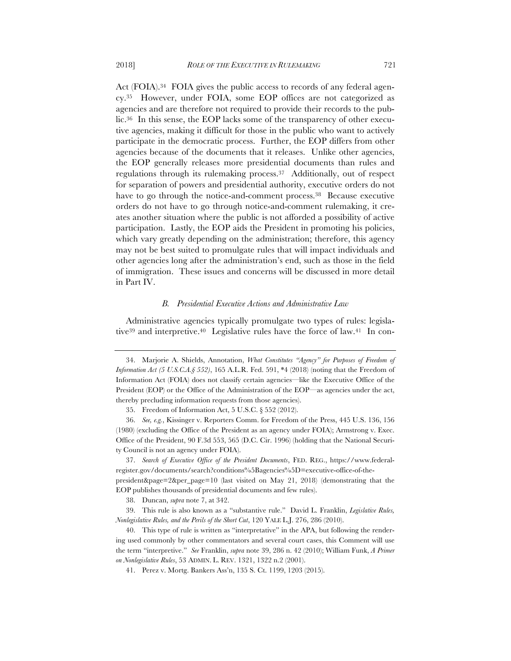Act (FOIA).<sup>34</sup> FOIA gives the public access to records of any federal agency.35 However, under FOIA, some EOP offices are not categorized as agencies and are therefore not required to provide their records to the public.36 In this sense, the EOP lacks some of the transparency of other executive agencies, making it difficult for those in the public who want to actively participate in the democratic process. Further, the EOP differs from other agencies because of the documents that it releases. Unlike other agencies, the EOP generally releases more presidential documents than rules and regulations through its rulemaking process.37 Additionally, out of respect for separation of powers and presidential authority, executive orders do not have to go through the notice-and-comment process.38 Because executive orders do not have to go through notice-and-comment rulemaking, it creates another situation where the public is not afforded a possibility of active participation. Lastly, the EOP aids the President in promoting his policies, which vary greatly depending on the administration; therefore, this agency may not be best suited to promulgate rules that will impact individuals and other agencies long after the administration's end, such as those in the field of immigration. These issues and concerns will be discussed in more detail in Part IV.

#### *B. Presidential Executive Actions and Administrative Law*

Administrative agencies typically promulgate two types of rules: legislative39 and interpretive.40 Legislative rules have the force of law.41 In con-

37. *Search of Executive Office of the President Documents*, FED. REG., https://www.federalregister.gov/documents/search?conditions%5Bagencies%5D=executive-office-of-thepresident&page=2&per\_page=10 (last visited on May 21, 2018) (demonstrating that the EOP publishes thousands of presidential documents and few rules).

38. Duncan, *supra* note 7, at 342.

39. This rule is also known as a "substantive rule." David L. Franklin, *Legislative Rules, Nonlegislative Rules, and the Perils of the Short Cut*, 120 YALE L.J. 276, 286 (2010).

40. This type of rule is written as "interpretative" in the APA, but following the rendering used commonly by other commentators and several court cases, this Comment will use the term "interpretive." *See* Franklin, *supra* note 39, 286 n. 42 (2010); William Funk, *A Primer on Nonlegislative Rules*, 53 ADMIN. L. REV. 1321, 1322 n.2 (2001).

41. Perez v. Mortg. Bankers Ass'n, 135 S. Ct. 1199, 1203 (2015).

<sup>34.</sup> Marjorie A. Shields, Annotation, *What Constitutes "Agency" for Purposes of Freedom of Information Act (5 U.S.C.A.§ 552)*, 165 A.L.R. Fed. 591, \*4 (2018) (noting that the Freedom of Information Act (FOIA) does not classify certain agencies—like the Executive Office of the President (EOP) or the Office of the Administration of the EOP—as agencies under the act, thereby precluding information requests from those agencies).

<sup>35.</sup> Freedom of Information Act, 5 U.S.C. § 552 (2012).

<sup>36.</sup> *See, e.g.*, Kissinger v. Reporters Comm. for Freedom of the Press, 445 U.S. 136, 156 (1980) (excluding the Office of the President as an agency under FOIA); Armstrong v. Exec. Office of the President, 90 F.3d 553, 565 (D.C. Cir. 1996) (holding that the National Security Council is not an agency under FOIA).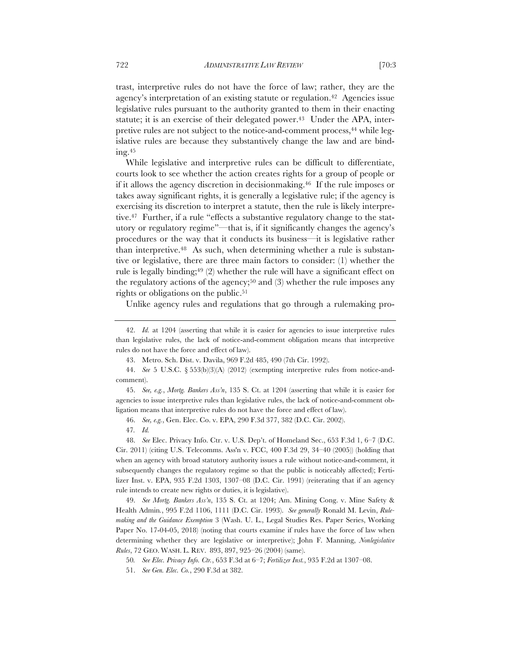trast, interpretive rules do not have the force of law; rather, they are the agency's interpretation of an existing statute or regulation.42 Agencies issue legislative rules pursuant to the authority granted to them in their enacting statute; it is an exercise of their delegated power.<sup>43</sup> Under the APA, interpretive rules are not subject to the notice-and-comment process,<sup>44</sup> while legislative rules are because they substantively change the law and are binding.45

While legislative and interpretive rules can be difficult to differentiate, courts look to see whether the action creates rights for a group of people or if it allows the agency discretion in decisionmaking.46 If the rule imposes or takes away significant rights, it is generally a legislative rule; if the agency is exercising its discretion to interpret a statute, then the rule is likely interpretive.47 Further, if a rule "effects a substantive regulatory change to the statutory or regulatory regime"—that is, if it significantly changes the agency's procedures or the way that it conducts its business—it is legislative rather than interpretive.48 As such, when determining whether a rule is substantive or legislative, there are three main factors to consider: (1) whether the rule is legally binding;<sup>49</sup> (2) whether the rule will have a significant effect on the regulatory actions of the agency;<sup>50</sup> and (3) whether the rule imposes any rights or obligations on the public.51

Unlike agency rules and regulations that go through a rulemaking pro-

49. *See Mortg. Bankers Ass'n*, 135 S. Ct. at 1204; Am. Mining Cong. v. Mine Safety & Health Admin*.*, 995 F.2d 1106, 1111 (D.C. Cir. 1993). *See generally* Ronald M. Levin, *Rulemaking and the Guidance Exemption* 3 (Wash. U. L., Legal Studies Res. Paper Series, Working Paper No. 17-04-05, 2018) (noting that courts examine if rules have the force of law when determining whether they are legislative or interpretive); John F. Manning, *Nonlegislative Rules*, 72 GEO. WASH. L. REV. 893, 897, 925–26 (2004) (same).

50*. See Elec. Privacy Info. Ctr.*, 653 F.3d at 6–7; *Fertilizer Inst.*, 935 F.2d at 1307–08.

<sup>42.</sup> *Id.* at 1204 (asserting that while it is easier for agencies to issue interpretive rules than legislative rules, the lack of notice-and-comment obligation means that interpretive rules do not have the force and effect of law).

<sup>43.</sup> Metro. Sch. Dist. v. Davila, 969 F.2d 485, 490 (7th Cir. 1992).

<sup>44.</sup> *See* 5 U.S.C. § 553(b)(3)(A) (2012) (exempting interpretive rules from notice-andcomment).

<sup>45.</sup> *See, e.g.*, *Mortg. Bankers Ass'n*, 135 S. Ct. at 1204 (asserting that while it is easier for agencies to issue interpretive rules than legislative rules, the lack of notice-and-comment obligation means that interpretive rules do not have the force and effect of law).

<sup>46.</sup> *See, e.g.*, Gen. Elec. Co. v. EPA, 290 F.3d 377, 382 (D.C. Cir. 2002).

<sup>47</sup>*. Id.*

<sup>48.</sup> *See* Elec. Privacy Info. Ctr. v. U.S. Dep't. of Homeland Sec., 653 F.3d 1, 6–7 (D.C. Cir. 2011) (citing U.S. Telecomms. Ass'n v. FCC, 400 F.3d 29, 34–40 (2005)) (holding that when an agency with broad statutory authority issues a rule without notice-and-comment, it subsequently changes the regulatory regime so that the public is noticeably affected); Fertilizer Inst. v. EPA, 935 F.2d 1303, 1307–08 (D.C. Cir. 1991) (reiterating that if an agency rule intends to create new rights or duties, it is legislative).

<sup>51.</sup> *See Gen. Elec. Co.*, 290 F.3d at 382.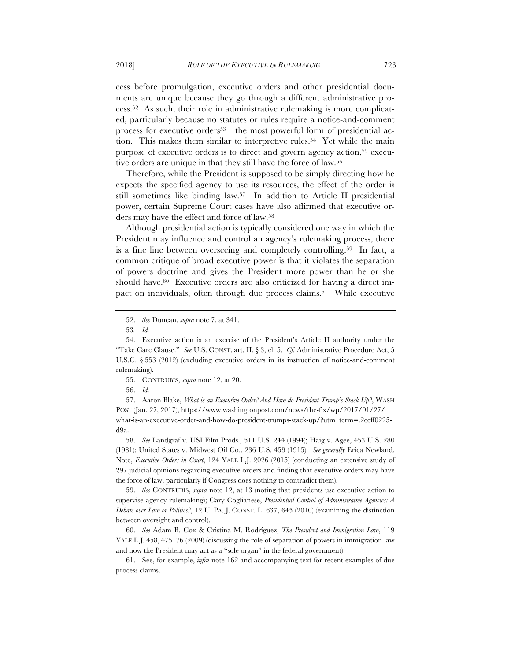cess before promulgation, executive orders and other presidential documents are unique because they go through a different administrative process.52 As such, their role in administrative rulemaking is more complicated, particularly because no statutes or rules require a notice-and-comment process for executive orders<sup>53</sup>—the most powerful form of presidential action. This makes them similar to interpretive rules.<sup>54</sup> Yet while the main purpose of executive orders is to direct and govern agency action,<sup>55</sup> executive orders are unique in that they still have the force of law.56

Therefore, while the President is supposed to be simply directing how he expects the specified agency to use its resources, the effect of the order is still sometimes like binding law.57 In addition to Article II presidential power, certain Supreme Court cases have also affirmed that executive orders may have the effect and force of law.58

Although presidential action is typically considered one way in which the President may influence and control an agency's rulemaking process, there is a fine line between overseeing and completely controlling.59 In fact, a common critique of broad executive power is that it violates the separation of powers doctrine and gives the President more power than he or she should have.<sup>60</sup> Executive orders are also criticized for having a direct impact on individuals, often through due process claims.<sup>61</sup> While executive

55. CONTRUBIS, *supra* note 12, at 20.

56. *Id.*

57. Aaron Blake, *What is an Executive Order? And How do President Trump's Stack Up?*, WASH POST (Jan. 27, 2017), https://www.washingtonpost.com/news/the-fix/wp/2017/01/27/ what-is-an-executive-order-and-how-do-president-trumps-stack-up/?utm\_term=.2ceff0225 d9a.

58. *See* Landgraf v. USI Film Prods., 511 U.S. 244 (1994); Haig v. Agee, 453 U.S. 280 (1981); United States v. Midwest Oil Co., 236 U.S. 459 (1915). *See generally* Erica Newland, Note, *Executive Orders in Court*, 124 YALE L.J. 2026 (2015) (conducting an extensive study of 297 judicial opinions regarding executive orders and finding that executive orders may have the force of law, particularly if Congress does nothing to contradict them).

59. *See* CONTRUBIS, *supra* note 12, at 13 (noting that presidents use executive action to supervise agency rulemaking); Cary Coglianese, *Presidential Control of Administrative Agencies: A Debate over Law or Politics?*, 12 U. PA. J. CONST. L. 637, 645 (2010) (examining the distinction between oversight and control).

60. *See* Adam B. Cox & Cristina M. Rodríguez, *The President and Immigration Law*, 119 YALE L.J. 458, 475–76 (2009) (discussing the role of separation of powers in immigration law and how the President may act as a "sole organ" in the federal government).

61. See, for example, *infra* note 162 and accompanying text for recent examples of due process claims.

<sup>52.</sup> *See* Duncan, *supra* note 7, at 341.

<sup>53</sup>*. Id.*

<sup>54.</sup> Executive action is an exercise of the President's Article II authority under the "Take Care Clause." *See* U.S. CONST. art. II, § 3, cl. 5. *Cf.* Administrative Procedure Act, 5 U.S.C. § 553 (2012) (excluding executive orders in its instruction of notice-and-comment rulemaking).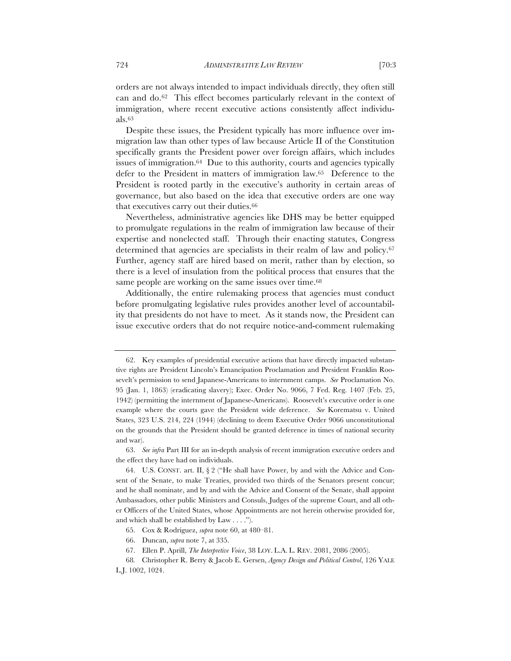orders are not always intended to impact individuals directly, they often still can and do.62 This effect becomes particularly relevant in the context of immigration, where recent executive actions consistently affect individuals.63

Despite these issues, the President typically has more influence over immigration law than other types of law because Article II of the Constitution specifically grants the President power over foreign affairs, which includes issues of immigration.64 Due to this authority, courts and agencies typically defer to the President in matters of immigration law.65 Deference to the President is rooted partly in the executive's authority in certain areas of governance, but also based on the idea that executive orders are one way that executives carry out their duties.66

Nevertheless, administrative agencies like DHS may be better equipped to promulgate regulations in the realm of immigration law because of their expertise and nonelected staff. Through their enacting statutes, Congress determined that agencies are specialists in their realm of law and policy.67 Further, agency staff are hired based on merit, rather than by election, so there is a level of insulation from the political process that ensures that the same people are working on the same issues over time.<sup>68</sup>

Additionally, the entire rulemaking process that agencies must conduct before promulgating legislative rules provides another level of accountability that presidents do not have to meet. As it stands now, the President can issue executive orders that do not require notice-and-comment rulemaking

<sup>62.</sup> Key examples of presidential executive actions that have directly impacted substantive rights are President Lincoln's Emancipation Proclamation and President Franklin Roosevelt's permission to send Japanese-Americans to internment camps. *See* Proclamation No. 95 (Jan. 1, 1863) (eradicating slavery); Exec. Order No. 9066, 7 Fed. Reg. 1407 (Feb. 25, 1942) (permitting the internment of Japanese-Americans). Roosevelt's executive order is one example where the courts gave the President wide deference. *See* Korematsu v. United States, 323 U.S. 214, 224 (1944) (declining to deem Executive Order 9066 unconstitutional on the grounds that the President should be granted deference in times of national security and war).

<sup>63.</sup> *See infra* Part III for an in-depth analysis of recent immigration executive orders and the effect they have had on individuals.

<sup>64.</sup> U.S. CONST. art. II, § 2 ("He shall have Power, by and with the Advice and Consent of the Senate, to make Treaties, provided two thirds of the Senators present concur; and he shall nominate, and by and with the Advice and Consent of the Senate, shall appoint Ambassadors, other public Ministers and Consuls, Judges of the supreme Court, and all other Officers of the United States, whose Appointments are not herein otherwise provided for, and which shall be established by Law . . . .").

<sup>65.</sup> Cox & Rodríguez, *supra* note 60, at 480–81.

<sup>66.</sup> Duncan, *supra* note 7, at 335.

<sup>67.</sup> Ellen P. Aprill, *The Interpretive Voice*, 38 LOY. L.A. L. REV. 2081, 2086 (2005).

<sup>68</sup>*.* Christopher R. Berry & Jacob E. Gersen, *Agency Design and Political Control*, 126 YALE L.J. 1002, 1024.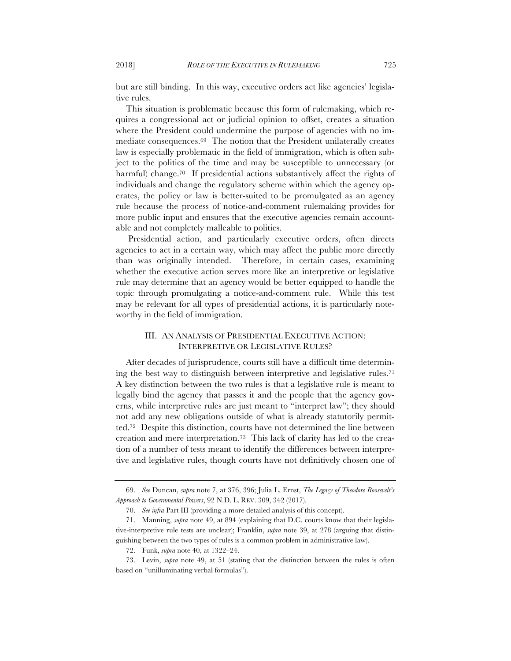but are still binding. In this way, executive orders act like agencies' legislative rules.

This situation is problematic because this form of rulemaking, which requires a congressional act or judicial opinion to offset, creates a situation where the President could undermine the purpose of agencies with no immediate consequences.69 The notion that the President unilaterally creates law is especially problematic in the field of immigration, which is often subject to the politics of the time and may be susceptible to unnecessary (or harmful) change.<sup>70</sup> If presidential actions substantively affect the rights of individuals and change the regulatory scheme within which the agency operates, the policy or law is better-suited to be promulgated as an agency rule because the process of notice-and-comment rulemaking provides for more public input and ensures that the executive agencies remain accountable and not completely malleable to politics.

Presidential action, and particularly executive orders, often directs agencies to act in a certain way, which may affect the public more directly than was originally intended. Therefore, in certain cases, examining whether the executive action serves more like an interpretive or legislative rule may determine that an agency would be better equipped to handle the topic through promulgating a notice-and-comment rule. While this test may be relevant for all types of presidential actions, it is particularly noteworthy in the field of immigration.

# III. AN ANALYSIS OF PRESIDENTIAL EXECUTIVE ACTION: INTERPRETIVE OR LEGISLATIVE RULES?

After decades of jurisprudence, courts still have a difficult time determining the best way to distinguish between interpretive and legislative rules.71 A key distinction between the two rules is that a legislative rule is meant to legally bind the agency that passes it and the people that the agency governs, while interpretive rules are just meant to "interpret law"; they should not add any new obligations outside of what is already statutorily permitted.72 Despite this distinction, courts have not determined the line between creation and mere interpretation.73 This lack of clarity has led to the creation of a number of tests meant to identify the differences between interpretive and legislative rules, though courts have not definitively chosen one of

<sup>69.</sup> *See* Duncan, *supra* note 7, at 376, 396; Julia L. Ernst, *The Legacy of Theodore Roosevelt's Approach to Governmental Powers*, 92 N.D. L. REV. 309, 342 (2017).

<sup>70.</sup> *See infra* Part III (providing a more detailed analysis of this concept).

<sup>71.</sup> Manning, *supra* note 49, at 894 (explaining that D.C. courts know that their legislative-interpretive rule tests are unclear); Franklin, *supra* note 39, at 278 (arguing that distinguishing between the two types of rules is a common problem in administrative law).

<sup>72.</sup> Funk, *supra* note 40, at 1322–24.

<sup>73.</sup> Levin, *supra* note 49, at 51 (stating that the distinction between the rules is often based on "unilluminating verbal formulas").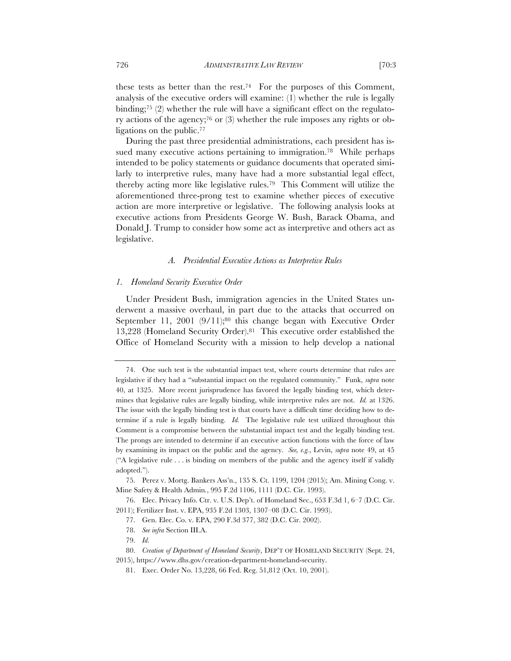these tests as better than the rest.<sup>74</sup> For the purposes of this Comment, analysis of the executive orders will examine: (1) whether the rule is legally binding;<sup>75</sup> (2) whether the rule will have a significant effect on the regulatory actions of the agency;76 or (3) whether the rule imposes any rights or obligations on the public.77

During the past three presidential administrations, each president has issued many executive actions pertaining to immigration.<sup>78</sup> While perhaps intended to be policy statements or guidance documents that operated similarly to interpretive rules, many have had a more substantial legal effect, thereby acting more like legislative rules.79 This Comment will utilize the aforementioned three-prong test to examine whether pieces of executive action are more interpretive or legislative. The following analysis looks at executive actions from Presidents George W. Bush, Barack Obama, and Donald J. Trump to consider how some act as interpretive and others act as legislative.

#### *A. Presidential Executive Actions as Interpretive Rules*

#### *1. Homeland Security Executive Order*

Under President Bush, immigration agencies in the United States underwent a massive overhaul, in part due to the attacks that occurred on September 11, 2001 (9/11);<sup>80</sup> this change began with Executive Order 13,228 (Homeland Security Order).81 This executive order established the Office of Homeland Security with a mission to help develop a national

<sup>74.</sup> One such test is the substantial impact test, where courts determine that rules are legislative if they had a "substantial impact on the regulated community." Funk, *supra* note 40, at 1325. More recent jurisprudence has favored the legally binding test, which determines that legislative rules are legally binding, while interpretive rules are not. *Id.* at 1326. The issue with the legally binding test is that courts have a difficult time deciding how to determine if a rule is legally binding. *Id.* The legislative rule test utilized throughout this Comment is a compromise between the substantial impact test and the legally binding test. The prongs are intended to determine if an executive action functions with the force of law by examining its impact on the public and the agency. *See, e.g.*, Levin, *supra* note 49, at 45 ("A legislative rule . . . is binding on members of the public and the agency itself if validly adopted.").

<sup>75.</sup> Perez v. Mortg. Bankers Ass'n., 135 S. Ct. 1199, 1204 (2015); Am. Mining Cong. v. Mine Safety & Health Admin*.*, 995 F.2d 1106, 1111 (D.C. Cir. 1993).

<sup>76.</sup> Elec. Privacy Info. Ctr. v. U.S. Dep't. of Homeland Sec., 653 F.3d 1, 6–7 (D.C. Cir. 2011); Fertilizer Inst. v. EPA, 935 F.2d 1303, 1307–08 (D.C. Cir. 1993).

<sup>77.</sup> Gen. Elec. Co. v. EPA, 290 F.3d 377, 382 (D.C. Cir. 2002).

<sup>78.</sup> *See infra* Section III.A.

<sup>79.</sup> *Id.*

<sup>80.</sup> *Creation of Department of Homeland Security*, DEP'T OF HOMELAND SECURITY (Sept. 24, 2015), https://www.dhs.gov/creation-department-homeland-security.

<sup>81.</sup> Exec. Order No. 13,228, 66 Fed. Reg. 51,812 (Oct. 10, 2001).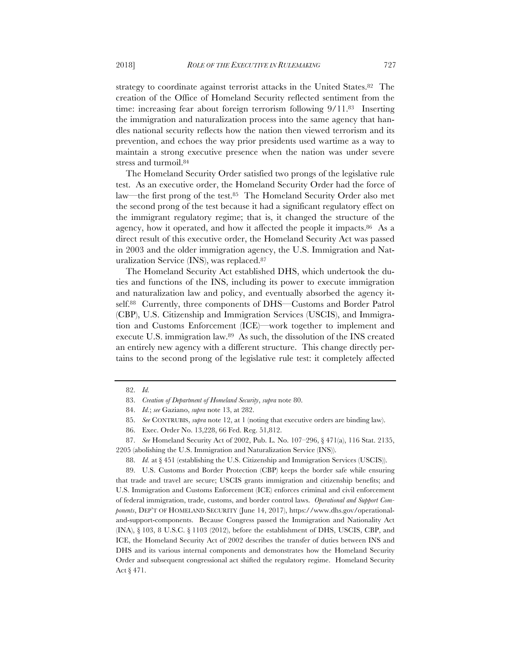strategy to coordinate against terrorist attacks in the United States.<sup>82</sup> The creation of the Office of Homeland Security reflected sentiment from the time: increasing fear about foreign terrorism following 9/11.83 Inserting the immigration and naturalization process into the same agency that handles national security reflects how the nation then viewed terrorism and its prevention, and echoes the way prior presidents used wartime as a way to maintain a strong executive presence when the nation was under severe stress and turmoil.84

The Homeland Security Order satisfied two prongs of the legislative rule test. As an executive order, the Homeland Security Order had the force of law—the first prong of the test.85 The Homeland Security Order also met the second prong of the test because it had a significant regulatory effect on the immigrant regulatory regime; that is, it changed the structure of the agency, how it operated, and how it affected the people it impacts.<sup>86</sup> As a direct result of this executive order, the Homeland Security Act was passed in 2003 and the older immigration agency, the U.S. Immigration and Naturalization Service (INS), was replaced.87

The Homeland Security Act established DHS, which undertook the duties and functions of the INS, including its power to execute immigration and naturalization law and policy, and eventually absorbed the agency itself.88 Currently, three components of DHS—Customs and Border Patrol (CBP), U.S. Citizenship and Immigration Services (USCIS), and Immigration and Customs Enforcement (ICE)—work together to implement and execute U.S. immigration law.89 As such, the dissolution of the INS created an entirely new agency with a different structure. This change directly pertains to the second prong of the legislative rule test: it completely affected

87. *See* Homeland Security Act of 2002, Pub. L. No. 107–296, § 471(a), 116 Stat. 2135, 2205 (abolishing the U.S. Immigration and Naturalization Service (INS)).

89. U.S. Customs and Border Protection (CBP) keeps the border safe while ensuring that trade and travel are secure; USCIS grants immigration and citizenship benefits; and U.S. Immigration and Customs Enforcement (ICE) enforces criminal and civil enforcement of federal immigration, trade, customs, and border control laws. *Operational and Support Components*, DEP'T OF HOMELAND SECURITY (June 14, 2017), https://www.dhs.gov/operationaland-support-components. Because Congress passed the Immigration and Nationality Act  $(INA)$ ,  $§$  103, 8 U.S.C.  $§$  1103 (2012), before the establishment of DHS, USCIS, CBP, and ICE, the Homeland Security Act of 2002 describes the transfer of duties between INS and DHS and its various internal components and demonstrates how the Homeland Security Order and subsequent congressional act shifted the regulatory regime. Homeland Security Act § 471.

<sup>82.</sup> *Id.*

<sup>83.</sup> *Creation of Department of Homeland Security*, *supra* note 80.

<sup>84.</sup> *Id.*; *see* Gaziano, *supra* note 13, at 282.

<sup>85.</sup> *See* CONTRUBIS, *supra* note 12, at 1 (noting that executive orders are binding law).

<sup>86.</sup> Exec. Order No. 13,228, 66 Fed. Reg. 51,812.

<sup>88.</sup> *Id.* at § 451 (establishing the U.S. Citizenship and Immigration Services (USCIS)).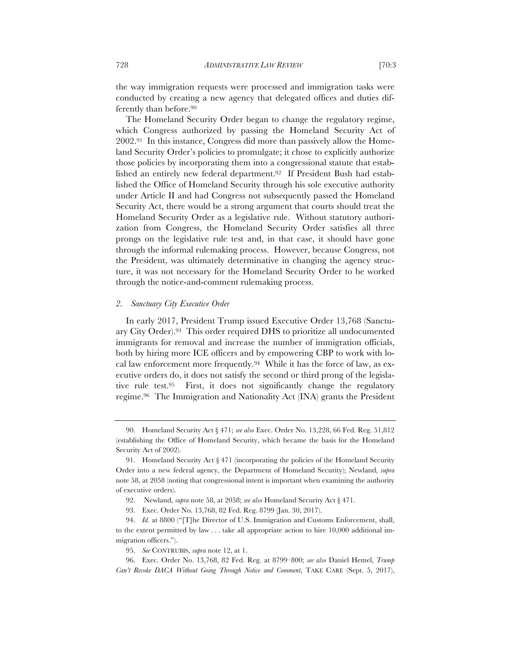the way immigration requests were processed and immigration tasks were conducted by creating a new agency that delegated offices and duties differently than before.90

The Homeland Security Order began to change the regulatory regime, which Congress authorized by passing the Homeland Security Act of 2002.91 In this instance, Congress did more than passively allow the Homeland Security Order's policies to promulgate; it chose to explicitly authorize those policies by incorporating them into a congressional statute that established an entirely new federal department.92 If President Bush had established the Office of Homeland Security through his sole executive authority under Article II and had Congress not subsequently passed the Homeland Security Act, there would be a strong argument that courts should treat the Homeland Security Order as a legislative rule. Without statutory authorization from Congress, the Homeland Security Order satisfies all three prongs on the legislative rule test and, in that case, it should have gone through the informal rulemaking process. However, because Congress, not the President, was ultimately determinative in changing the agency structure, it was not necessary for the Homeland Security Order to be worked through the notice-and-comment rulemaking process.

#### *2. Sanctuary City Executive Order*

In early 2017, President Trump issued Executive Order 13,768 (Sanctuary City Order).93 This order required DHS to prioritize all undocumented immigrants for removal and increase the number of immigration officials, both by hiring more ICE officers and by empowering CBP to work with local law enforcement more frequently.94 While it has the force of law, as executive orders do, it does not satisfy the second or third prong of the legislative rule test.95 First, it does not significantly change the regulatory regime.96 The Immigration and Nationality Act (INA) grants the President

<sup>90.</sup> Homeland Security Act § 471; *see also* Exec. Order No. 13,228, 66 Fed. Reg. 51,812 (establishing the Office of Homeland Security, which became the basis for the Homeland Security Act of 2002).

<sup>91.</sup> Homeland Security Act § 471 (incorporating the policies of the Homeland Security Order into a new federal agency, the Department of Homeland Security); Newland, *supra* note 58, at 2058 (noting that congressional intent is important when examining the authority of executive orders).

<sup>92.</sup> Newland, *supra* note 58, at 2058; *see also* Homeland Security Act § 471.

<sup>93.</sup> Exec. Order No. 13,768, 82 Fed. Reg. 8799 (Jan. 30, 2017).

<sup>94.</sup> *Id.* at 8800 ("[T]he Director of U.S. Immigration and Customs Enforcement, shall, to the extent permitted by law . . . take all appropriate action to hire 10,000 additional immigration officers.").

<sup>95.</sup> *See* CONTRUBIS, *supra* note 12, at 1.

<sup>96.</sup> Exec. Order No. 13,768, 82 Fed. Reg. at 8799–800; *see also* Daniel Hemel, *Trump Can't Revoke DACA Without Going Through Notice and Comment*, TAKE CARE (Sept. 5, 2017),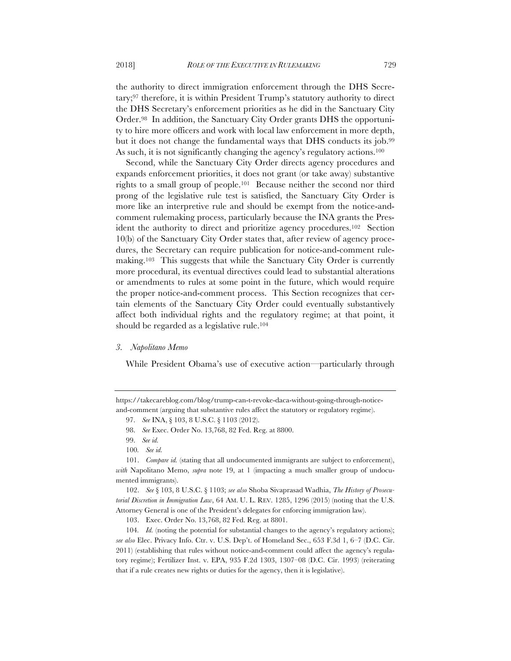the authority to direct immigration enforcement through the DHS Secretary;97 therefore, it is within President Trump's statutory authority to direct the DHS Secretary's enforcement priorities as he did in the Sanctuary City Order.98 In addition, the Sanctuary City Order grants DHS the opportunity to hire more officers and work with local law enforcement in more depth, but it does not change the fundamental ways that DHS conducts its job.99 As such, it is not significantly changing the agency's regulatory actions.<sup>100</sup>

Second, while the Sanctuary City Order directs agency procedures and expands enforcement priorities, it does not grant (or take away) substantive rights to a small group of people.101 Because neither the second nor third prong of the legislative rule test is satisfied, the Sanctuary City Order is more like an interpretive rule and should be exempt from the notice-andcomment rulemaking process, particularly because the INA grants the President the authority to direct and prioritize agency procedures.102 Section 10(b) of the Sanctuary City Order states that, after review of agency procedures, the Secretary can require publication for notice-and-comment rulemaking.103 This suggests that while the Sanctuary City Order is currently more procedural, its eventual directives could lead to substantial alterations or amendments to rules at some point in the future, which would require the proper notice-and-comment process. This Section recognizes that certain elements of the Sanctuary City Order could eventually substantively affect both individual rights and the regulatory regime; at that point, it should be regarded as a legislative rule.<sup>104</sup>

#### *3. Napolitano Memo*

While President Obama's use of executive action—particularly through

103. Exec. Order No. 13,768, 82 Fed. Reg. at 8801.

104*. Id.* (noting the potential for substantial changes to the agency's regulatory actions); *see also* Elec. Privacy Info. Ctr. v. U.S. Dep't. of Homeland Sec., 653 F.3d 1, 6–7 (D.C. Cir. 2011) (establishing that rules without notice-and-comment could affect the agency's regulatory regime); Fertilizer Inst. v. EPA, 935 F.2d 1303, 1307–08 (D.C. Cir. 1993) (reiterating that if a rule creates new rights or duties for the agency, then it is legislative).

https://takecareblog.com/blog/trump-can-t-revoke-daca-without-going-through-noticeand-comment (arguing that substantive rules affect the statutory or regulatory regime).

<sup>97.</sup> *See* INA, § 103, 8 U.S.C. § 1103 (2012).

<sup>98.</sup> *See* Exec. Order No. 13,768, 82 Fed. Reg. at 8800.

<sup>99.</sup> *See id.*

<sup>100</sup>*. See id.*

<sup>101.</sup> *Compare id.* (stating that all undocumented immigrants are subject to enforcement), *with* Napolitano Memo, *supra* note 19, at 1 (impacting a much smaller group of undocumented immigrants).

<sup>102.</sup> *See* § 103, 8 U.S.C. § 1103; *see also* Shoba Sivaprasad Wadhia, *The History of Prosecutorial Discretion in Immigration Law*, 64 AM. U. L. REV. 1285, 1296 (2015) (noting that the U.S. Attorney General is one of the President's delegates for enforcing immigration law).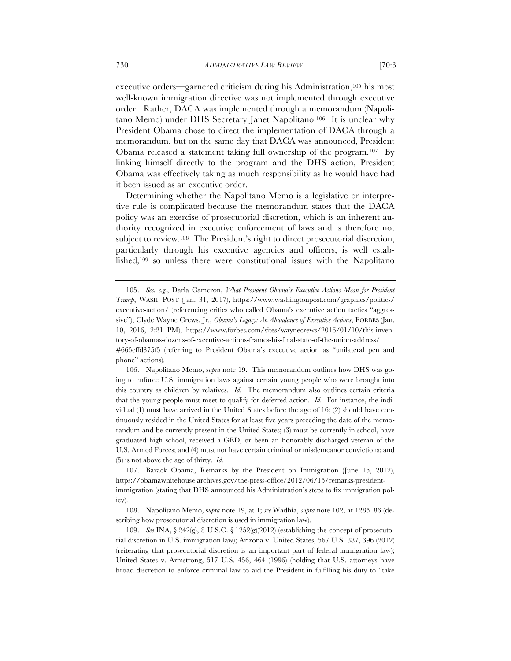executive orders—garnered criticism during his Administration,<sup>105</sup> his most well-known immigration directive was not implemented through executive order. Rather, DACA was implemented through a memorandum (Napolitano Memo) under DHS Secretary Janet Napolitano.106 It is unclear why President Obama chose to direct the implementation of DACA through a memorandum, but on the same day that DACA was announced, President Obama released a statement taking full ownership of the program.107 By linking himself directly to the program and the DHS action, President Obama was effectively taking as much responsibility as he would have had it been issued as an executive order.

Determining whether the Napolitano Memo is a legislative or interpretive rule is complicated because the memorandum states that the DACA policy was an exercise of prosecutorial discretion, which is an inherent authority recognized in executive enforcement of laws and is therefore not subject to review.<sup>108</sup> The President's right to direct prosecutorial discretion, particularly through his executive agencies and officers, is well established,109 so unless there were constitutional issues with the Napolitano

106. Napolitano Memo, s*upra* note 19. This memorandum outlines how DHS was going to enforce U.S. immigration laws against certain young people who were brought into this country as children by relatives. *Id.* The memorandum also outlines certain criteria that the young people must meet to qualify for deferred action. *Id.* For instance, the individual (1) must have arrived in the United States before the age of 16; (2) should have continuously resided in the United States for at least five years preceding the date of the memorandum and be currently present in the United States; (3) must be currently in school, have graduated high school, received a GED, or been an honorably discharged veteran of the U.S. Armed Forces; and (4) must not have certain criminal or misdemeanor convictions; and (5) is not above the age of thirty. *Id.*

107. Barack Obama, Remarks by the President on Immigration (June 15, 2012), https://obamawhitehouse.archives.gov/the-press-office/2012/06/15/remarks-presidentimmigration (stating that DHS announced his Administration's steps to fix immigration policy).

108. Napolitano Memo, s*upra* note 19, at 1; *see* Wadhia, *supra* note 102, at 1285–86 (describing how prosecutorial discretion is used in immigration law).

109. *See* INA, § 242(g), 8 U.S.C. § 1252(g)(2012) (establishing the concept of prosecutorial discretion in U.S. immigration law); Arizona v. United States, 567 U.S. 387, 396 (2012) (reiterating that prosecutorial discretion is an important part of federal immigration law); United States v. Armstrong, 517 U.S. 456, 464 (1996) (holding that U.S. attorneys have broad discretion to enforce criminal law to aid the President in fulfilling his duty to "take

<sup>105.</sup> *See, e.g.*, Darla Cameron, *What President Obama's Executive Actions Mean for President Trump*, WASH. POST (Jan. 31, 2017), https://www.washingtonpost.com/graphics/politics/ executive-action/ (referencing critics who called Obama's executive action tactics "aggressive"); Clyde Wayne Crews, Jr., *Obama's Legacy: An Abundance of Executive Actions*, FORBES (Jan. 10, 2016, 2:21 PM), https://www.forbes.com/sites/waynecrews/2016/01/10/this-inventory-of-obamas-dozens-of-executive-actions-frames-his-final-state-of-the-union-address/ #665cffd375f5 (referring to President Obama's executive action as "unilateral pen and phone" actions).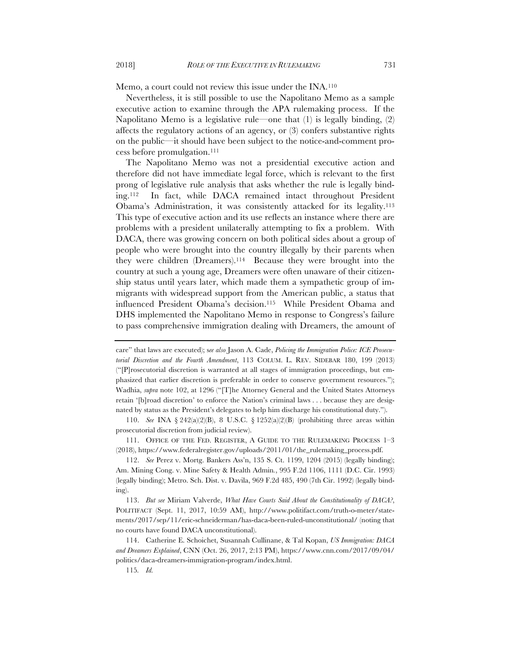Memo, a court could not review this issue under the INA.110

Nevertheless, it is still possible to use the Napolitano Memo as a sample executive action to examine through the APA rulemaking process. If the Napolitano Memo is a legislative rule—one that (1) is legally binding, (2) affects the regulatory actions of an agency, or (3) confers substantive rights on the public—it should have been subject to the notice-and-comment process before promulgation.111

The Napolitano Memo was not a presidential executive action and therefore did not have immediate legal force, which is relevant to the first prong of legislative rule analysis that asks whether the rule is legally binding.112 In fact, while DACA remained intact throughout President Obama's Administration, it was consistently attacked for its legality.113 This type of executive action and its use reflects an instance where there are problems with a president unilaterally attempting to fix a problem. With DACA, there was growing concern on both political sides about a group of people who were brought into the country illegally by their parents when they were children (Dreamers).114 Because they were brought into the country at such a young age, Dreamers were often unaware of their citizenship status until years later, which made them a sympathetic group of immigrants with widespread support from the American public, a status that influenced President Obama's decision.115 While President Obama and DHS implemented the Napolitano Memo in response to Congress's failure to pass comprehensive immigration dealing with Dreamers, the amount of

110. *See* INA § 242(a)(2)(B), 8 U.S.C. § 1252(a)(2)(B) (prohibiting three areas within prosecutorial discretion from judicial review).

111. OFFICE OF THE FED. REGISTER, A GUIDE TO THE RULEMAKING PROCESS 1–3 (2018), https://www.federalregister.gov/uploads/2011/01/the\_rulemaking\_process.pdf.

112. *See* Perez v. Mortg. Bankers Ass'n, 135 S. Ct. 1199, 1204 (2015) (legally binding); Am. Mining Cong. v. Mine Safety & Health Admin*.*, 995 F.2d 1106, 1111 (D.C. Cir. 1993) (legally binding); Metro. Sch. Dist. v. Davila, 969 F.2d 485, 490 (7th Cir. 1992) (legally binding).

113. *But see* Miriam Valverde, *What Have Courts Said About the Constitutionality of DACA?*, POLITIFACT (Sept. 11, 2017, 10:59 AM), http://www.politifact.com/truth-o-meter/statements/2017/sep/11/eric-schneiderman/has-daca-been-ruled-unconstitutional/ (noting that no courts have found DACA unconstitutional).

114. Catherine E. Schoichet, Susannah Cullinane, & Tal Kopan, *US Immigration: DACA and Dreamers Explained*, CNN (Oct. 26, 2017, 2:13 PM), https://www.cnn.com/2017/09/04/ politics/daca-dreamers-immigration-program/index.html.

115*. Id.*

care" that laws are executed); s*ee also* Jason A. Cade, *Policing the Immigration Police: ICE Prosecutorial Discretion and the Fourth Amendment*, 113 COLUM. L. REV. SIDEBAR 180, 199 (2013) ("[P]rosecutorial discretion is warranted at all stages of immigration proceedings, but emphasized that earlier discretion is preferable in order to conserve government resources."); Wadhia, *supra* note 102, at 1296 ("[T]he Attorney General and the United States Attorneys retain '[b]road discretion' to enforce the Nation's criminal laws . . . because they are designated by status as the President's delegates to help him discharge his constitutional duty.").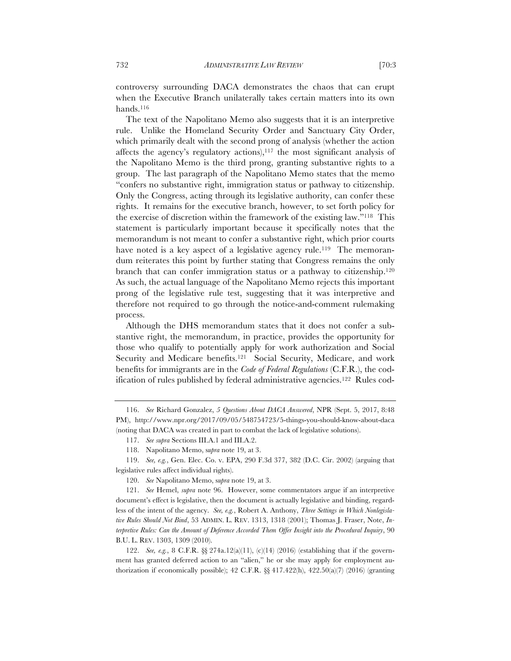controversy surrounding DACA demonstrates the chaos that can erupt when the Executive Branch unilaterally takes certain matters into its own hands.116

The text of the Napolitano Memo also suggests that it is an interpretive rule. Unlike the Homeland Security Order and Sanctuary City Order, which primarily dealt with the second prong of analysis (whether the action affects the agency's regulatory actions), $117$  the most significant analysis of the Napolitano Memo is the third prong, granting substantive rights to a group. The last paragraph of the Napolitano Memo states that the memo "confers no substantive right, immigration status or pathway to citizenship. Only the Congress, acting through its legislative authority, can confer these rights. It remains for the executive branch, however, to set forth policy for the exercise of discretion within the framework of the existing law."118 This statement is particularly important because it specifically notes that the memorandum is not meant to confer a substantive right, which prior courts have noted is a key aspect of a legislative agency rule.<sup>119</sup> The memorandum reiterates this point by further stating that Congress remains the only branch that can confer immigration status or a pathway to citizenship.120 As such, the actual language of the Napolitano Memo rejects this important prong of the legislative rule test, suggesting that it was interpretive and therefore not required to go through the notice-and-comment rulemaking process.

Although the DHS memorandum states that it does not confer a substantive right, the memorandum, in practice, provides the opportunity for those who qualify to potentially apply for work authorization and Social Security and Medicare benefits.121 Social Security, Medicare, and work benefits for immigrants are in the *Code of Federal Regulations* (C.F.R.), the codification of rules published by federal administrative agencies.122 Rules cod-

<sup>116.</sup> *See* Richard Gonzalez, *5 Questions About DACA Answered*, NPR (Sept. 5, 2017, 8:48 PM), http://www.npr.org/2017/09/05/548754723/5-things-you-should-know-about-daca (noting that DACA was created in part to combat the lack of legislative solutions).

<sup>117.</sup> *See supra* Sections III.A.1 and III.A.2.

<sup>118.</sup> Napolitano Memo, s*upra* note 19, at 3.

<sup>119.</sup> *See, e.g.*, Gen. Elec. Co. v. EPA, 290 F.3d 377, 382 (D.C. Cir. 2002) (arguing that legislative rules affect individual rights).

<sup>120.</sup> *See* Napolitano Memo, s*upra* note 19, at 3.

<sup>121.</sup> *See* Hemel, *supra* note 96. However, some commentators argue if an interpretive document's effect is legislative, then the document is actually legislative and binding, regardless of the intent of the agency. *See, e.g.*, Robert A. Anthony, *Three Settings in Which Nonlegislative Rules Should Not Bind*, 53 ADMIN. L. REV. 1313, 1318 (2001); Thomas J. Fraser, Note, *Interpretive Rules: Can the Amount of Deference Accorded Them Offer Insight into the Procedural Inquiry*, 90 B.U. L. REV. 1303, 1309 (2010).

<sup>122.</sup> *See, e.g.*, 8 C.F.R. §§ 274a.12(a)(11), (c)(14) (2016) (establishing that if the government has granted deferred action to an "alien," he or she may apply for employment authorization if economically possible);  $42$  C.F.R.  $\& 417.422(h)$ ,  $422.50(a)(7)$  (2016) (granting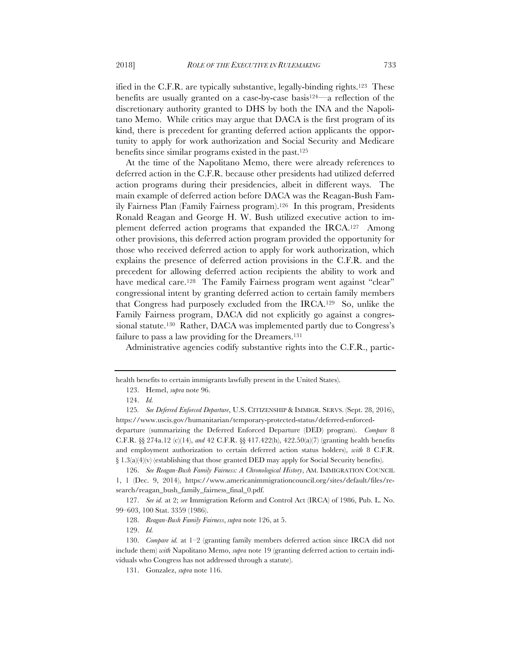ified in the C.F.R. are typically substantive, legally-binding rights.123 These benefits are usually granted on a case-by-case basis124—a reflection of the discretionary authority granted to DHS by both the INA and the Napolitano Memo. While critics may argue that DACA is the first program of its kind, there is precedent for granting deferred action applicants the opportunity to apply for work authorization and Social Security and Medicare benefits since similar programs existed in the past.125

At the time of the Napolitano Memo, there were already references to deferred action in the C.F.R. because other presidents had utilized deferred action programs during their presidencies, albeit in different ways. The main example of deferred action before DACA was the Reagan-Bush Family Fairness Plan (Family Fairness program).126 In this program, Presidents Ronald Reagan and George H. W. Bush utilized executive action to implement deferred action programs that expanded the IRCA.127 Among other provisions, this deferred action program provided the opportunity for those who received deferred action to apply for work authorization, which explains the presence of deferred action provisions in the C.F.R. and the precedent for allowing deferred action recipients the ability to work and have medical care.<sup>128</sup> The Family Fairness program went against "clear" congressional intent by granting deferred action to certain family members that Congress had purposely excluded from the IRCA.129 So, unlike the Family Fairness program, DACA did not explicitly go against a congressional statute.<sup>130</sup> Rather, DACA was implemented partly due to Congress's failure to pass a law providing for the Dreamers.<sup>131</sup>

Administrative agencies codify substantive rights into the C.F.R., partic-

health benefits to certain immigrants lawfully present in the United States).

<sup>123.</sup> Hemel, *supra* note 96.

<sup>124.</sup> *Id.*

<sup>125</sup>*. See Deferred Enforced Departure*, U.S. CITIZENSHIP & IMMIGR. SERVS. (Sept. 28, 2016), https://www.uscis.gov/humanitarian/temporary-protected-status/deferred-enforceddeparture (summarizing the Deferred Enforced Departure (DED) program). *Compare* 8

C.F.R. §§ 274a.12 (c)(14), *and* 42 C.F.R. §§ 417.422(h), 422.50(a)(7) (granting health benefits and employment authorization to certain deferred action status holders), *with* 8 C.F.R.  $\{1.3(a)(4)(v)$  (establishing that those granted DED may apply for Social Security benefits).

<sup>126.</sup> *See Reagan-Bush Family Fairness: A Chronological History*, AM. IMMIGRATION COUNCIL 1, 1 (Dec. 9, 2014), https://www.americanimmigrationcouncil.org/sites/default/files/research/reagan\_bush\_family\_fairness\_final\_0.pdf.

<sup>127.</sup> *See id.* at 2; *see* Immigration Reform and Control Act (IRCA) of 1986, Pub. L. No. 99–603, 100 Stat. 3359 (1986).

<sup>128.</sup> *Reagan-Bush Family Fairness*, *supra* note 126, at 5.

<sup>129.</sup> *Id.*

<sup>130.</sup> *Compare id.* at 1–2 (granting family members deferred action since IRCA did not include them) *with* Napolitano Memo, *supra* note 19 (granting deferred action to certain individuals who Congress has not addressed through a statute).

<sup>131.</sup> Gonzalez, *supra* note 116.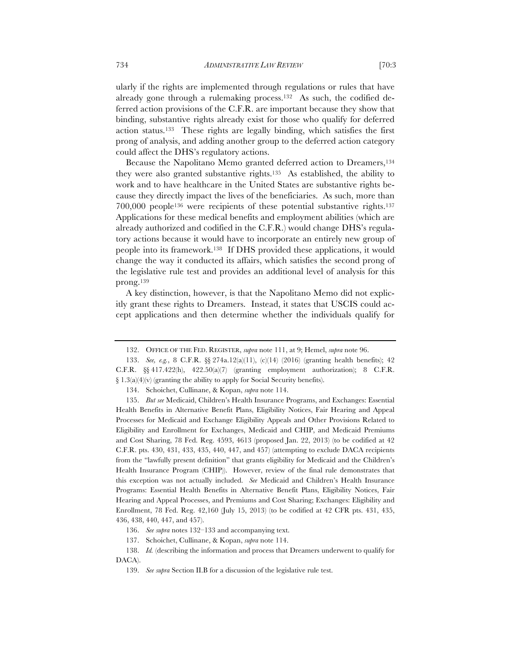ularly if the rights are implemented through regulations or rules that have already gone through a rulemaking process.132 As such, the codified deferred action provisions of the C.F.R. are important because they show that binding, substantive rights already exist for those who qualify for deferred action status.133 These rights are legally binding, which satisfies the first prong of analysis, and adding another group to the deferred action category could affect the DHS's regulatory actions.

Because the Napolitano Memo granted deferred action to Dreamers,<sup>134</sup> they were also granted substantive rights.135 As established, the ability to work and to have healthcare in the United States are substantive rights because they directly impact the lives of the beneficiaries. As such, more than 700,000 people136 were recipients of these potential substantive rights.137 Applications for these medical benefits and employment abilities (which are already authorized and codified in the C.F.R.) would change DHS's regulatory actions because it would have to incorporate an entirely new group of people into its framework.138 If DHS provided these applications, it would change the way it conducted its affairs, which satisfies the second prong of the legislative rule test and provides an additional level of analysis for this prong.139

A key distinction, however, is that the Napolitano Memo did not explicitly grant these rights to Dreamers. Instead, it states that USCIS could accept applications and then determine whether the individuals qualify for

139. *See supra* Section II.B for a discussion of the legislative rule test.

<sup>132.</sup> OFFICE OF THE FED. REGISTER, *supra* note 111, at 9; Hemel, *supra* note 96.

<sup>133.</sup> *See, e.g.*, 8 C.F.R. §§ 274a.12(a)(11), (c)(14) (2016) (granting health benefits); 42 C.F.R.  $\S$  417.422(h), 422.50(a)(7) (granting employment authorization); 8 C.F.R. § 1.3(a)(4)(v) (granting the ability to apply for Social Security benefits).

<sup>134.</sup> Schoichet, Cullinane, & Kopan, *supra* note 114.

<sup>135.</sup> *But see* Medicaid, Children's Health Insurance Programs, and Exchanges: Essential Health Benefits in Alternative Benefit Plans, Eligibility Notices, Fair Hearing and Appeal Processes for Medicaid and Exchange Eligibility Appeals and Other Provisions Related to Eligibility and Enrollment for Exchanges, Medicaid and CHIP, and Medicaid Premiums and Cost Sharing, 78 Fed. Reg. 4593, 4613 (proposed Jan. 22, 2013) (to be codified at 42 C.F.R. pts. 430, 431, 433, 435, 440, 447, and 457) (attempting to exclude DACA recipients from the "lawfully present definition" that grants eligibility for Medicaid and the Children's Health Insurance Program (CHIP)). However, review of the final rule demonstrates that this exception was not actually included. *See* Medicaid and Children's Health Insurance Programs: Essential Health Benefits in Alternative Benefit Plans, Eligibility Notices, Fair Hearing and Appeal Processes, and Premiums and Cost Sharing; Exchanges: Eligibility and Enrollment, 78 Fed. Reg. 42,160 (July 15, 2013) (to be codified at 42 CFR pts. 431, 435, 436, 438, 440, 447, and 457).

<sup>136.</sup> *See supra* notes 132–133 and accompanying text.

<sup>137.</sup> Schoichet, Cullinane, & Kopan, *supra* note 114.

<sup>138.</sup> *Id.* (describing the information and process that Dreamers underwent to qualify for DACA).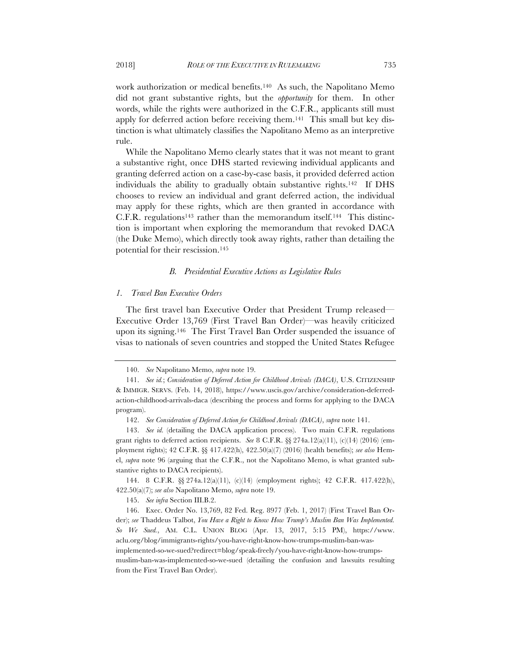work authorization or medical benefits.140 As such, the Napolitano Memo did not grant substantive rights, but the *opportunity* for them. In other words, while the rights were authorized in the C.F.R., applicants still must apply for deferred action before receiving them.141 This small but key distinction is what ultimately classifies the Napolitano Memo as an interpretive

While the Napolitano Memo clearly states that it was not meant to grant a substantive right, once DHS started reviewing individual applicants and granting deferred action on a case-by-case basis, it provided deferred action individuals the ability to gradually obtain substantive rights.142 If DHS chooses to review an individual and grant deferred action, the individual may apply for these rights, which are then granted in accordance with C.F.R. regulations<sup>143</sup> rather than the memorandum itself.<sup>144</sup> This distinction is important when exploring the memorandum that revoked DACA (the Duke Memo), which directly took away rights, rather than detailing the potential for their rescission.145

#### *B. Presidential Executive Actions as Legislative Rules*

#### *1. Travel Ban Executive Orders*

The first travel ban Executive Order that President Trump released— Executive Order 13,769 (First Travel Ban Order)—was heavily criticized upon its signing.146 The First Travel Ban Order suspended the issuance of visas to nationals of seven countries and stopped the United States Refugee

rule.

<sup>140.</sup> *See* Napolitano Memo, *supra* note 19.

<sup>141.</sup> *See id.*; *Consideration of Deferred Action for Childhood Arrivals (DACA)*, U.S. CITIZENSHIP & IMMIGR. SERVS. (Feb. 14, 2018), https://www.uscis.gov/archive/consideration-deferredaction-childhood-arrivals-daca (describing the process and forms for applying to the DACA program).

<sup>142.</sup> *See Consideration of Deferred Action for Childhood Arrivals (DACA)*, *supra* note 141.

<sup>143.</sup> *See id.* (detailing the DACA application process). Two main C.F.R. regulations grant rights to deferred action recipients. *See* 8 C.F.R. §§ 274a.12(a)(11), (c)(14) (2016) (employment rights); 42 C.F.R. §§ 417.422(h), 422.50(a)(7) (2016) (health benefits); *see also* Hemel, *supra* note 96 (arguing that the C.F.R., not the Napolitano Memo, is what granted substantive rights to DACA recipients).

<sup>144.</sup> 8 C.F.R. §§ 274a.12(a)(11), (c)(14) (employment rights); 42 C.F.R. 417.422(h), 422.50(a)(7); *see also* Napolitano Memo, *supra* note 19.

<sup>145.</sup> *See infra* Section III.B.2.

<sup>146.</sup> Exec. Order No. 13,769, 82 Fed. Reg. 8977 (Feb. 1, 2017) (First Travel Ban Order); *see* Thaddeus Talbot, *You Have a Right to Know How Trump's Muslim Ban Was Implemented. So We Sued.*, AM. C.L. UNION BLOG (Apr. 13, 2017, 5:15 PM), https://www. aclu.org/blog/immigrants-rights/you-have-right-know-how-trumps-muslim-ban-wasimplemented-so-we-sued?redirect=blog/speak-freely/you-have-right-know-how-trumpsmuslim-ban-was-implemented-so-we-sued (detailing the confusion and lawsuits resulting from the First Travel Ban Order).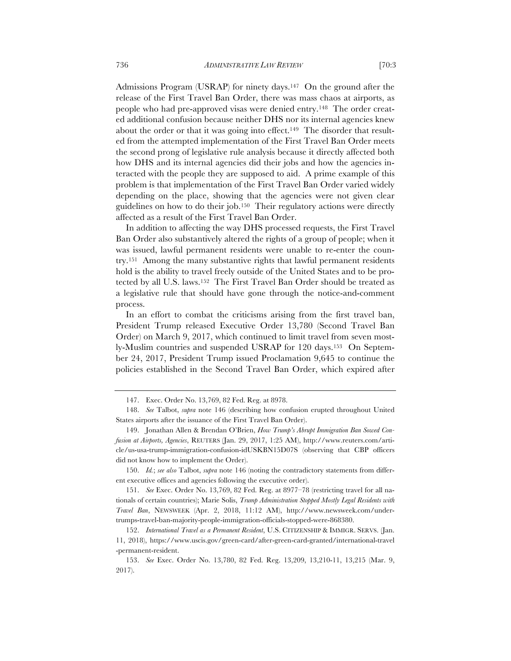Admissions Program (USRAP) for ninety days.<sup>147</sup> On the ground after the release of the First Travel Ban Order, there was mass chaos at airports, as people who had pre-approved visas were denied entry.148 The order created additional confusion because neither DHS nor its internal agencies knew about the order or that it was going into effect.<sup>149</sup> The disorder that resulted from the attempted implementation of the First Travel Ban Order meets the second prong of legislative rule analysis because it directly affected both how DHS and its internal agencies did their jobs and how the agencies interacted with the people they are supposed to aid. A prime example of this problem is that implementation of the First Travel Ban Order varied widely depending on the place, showing that the agencies were not given clear guidelines on how to do their job.150 Their regulatory actions were directly affected as a result of the First Travel Ban Order.

In addition to affecting the way DHS processed requests, the First Travel Ban Order also substantively altered the rights of a group of people; when it was issued, lawful permanent residents were unable to re-enter the country.151 Among the many substantive rights that lawful permanent residents hold is the ability to travel freely outside of the United States and to be protected by all U.S. laws.152The First Travel Ban Order should be treated as a legislative rule that should have gone through the notice-and-comment process.

In an effort to combat the criticisms arising from the first travel ban, President Trump released Executive Order 13,780 (Second Travel Ban Order) on March 9, 2017, which continued to limit travel from seven mostly-Muslim countries and suspended USRAP for 120 days.153 On September 24, 2017, President Trump issued Proclamation 9,645 to continue the policies established in the Second Travel Ban Order, which expired after

151. *See* Exec. Order No. 13,769, 82 Fed. Reg. at 8977–78 (restricting travel for all nationals of certain countries); Marie Solis, *Trump Administration Stopped Mostly Legal Residents with Travel Ban*, NEWSWEEK (Apr. 2, 2018, 11:12 AM), http://www.newsweek.com/undertrumps-travel-ban-majority-people-immigration-officials-stopped-were-868380.

<sup>147.</sup> Exec. Order No. 13,769, 82 Fed. Reg. at 8978.

<sup>148.</sup> *See* Talbot, *supra* note 146 (describing how confusion erupted throughout United States airports after the issuance of the First Travel Ban Order).

<sup>149.</sup> Jonathan Allen & Brendan O'Brien, *How Trump's Abrupt Immigration Ban Sowed Confusion at Airports, Agencies*, REUTERS (Jan. 29, 2017, 1:25 AM), http://www.reuters.com/article/us-usa-trump-immigration-confusion-idUSKBN15D07S (observing that CBP officers did not know how to implement the Order).

<sup>150.</sup> *Id.*; *see also* Talbot, *supra* note 146 (noting the contradictory statements from different executive offices and agencies following the executive order).

<sup>152.</sup> *International Travel as a Permanent Resident*, U.S. CITIZENSHIP & IMMIGR. SERVS. (Jan. 11, 2018), https://www.uscis.gov/green-card/after-green-card-granted/international-travel -permanent-resident.

<sup>153.</sup> *See* Exec. Order No. 13,780, 82 Fed. Reg. 13,209, 13,210-11, 13,215 (Mar. 9, 2017).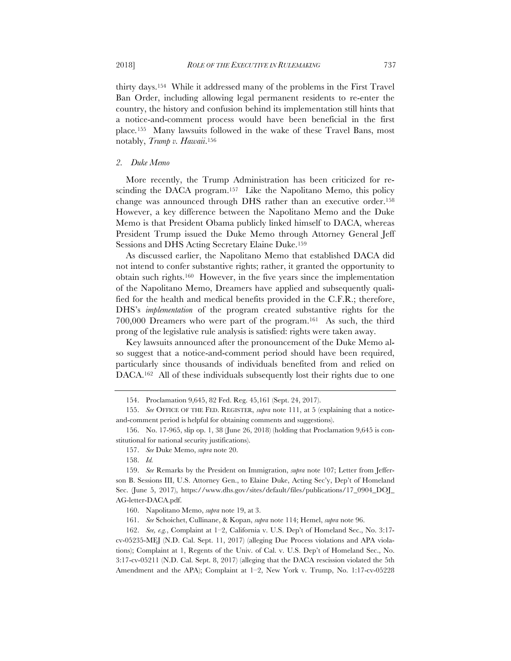thirty days.154 While it addressed many of the problems in the First Travel Ban Order, including allowing legal permanent residents to re-enter the country, the history and confusion behind its implementation still hints that a notice-and-comment process would have been beneficial in the first place*.*<sup>155</sup>Many lawsuits followed in the wake of these Travel Bans, most notably, *Trump v. Hawaii*.156

#### *2. Duke Memo*

More recently, the Trump Administration has been criticized for rescinding the DACA program.<sup>157</sup> Like the Napolitano Memo, this policy change was announced through DHS rather than an executive order.158 However, a key difference between the Napolitano Memo and the Duke Memo is that President Obama publicly linked himself to DACA, whereas President Trump issued the Duke Memo through Attorney General Jeff Sessions and DHS Acting Secretary Elaine Duke.159

As discussed earlier, the Napolitano Memo that established DACA did not intend to confer substantive rights; rather, it granted the opportunity to obtain such rights.160 However, in the five years since the implementation of the Napolitano Memo, Dreamers have applied and subsequently qualified for the health and medical benefits provided in the C.F.R.; therefore, DHS's *implementation* of the program created substantive rights for the 700,000 Dreamers who were part of the program.161 As such, the third prong of the legislative rule analysis is satisfied: rights were taken away.

Key lawsuits announced after the pronouncement of the Duke Memo also suggest that a notice-and-comment period should have been required, particularly since thousands of individuals benefited from and relied on DACA.162 All of these individuals subsequently lost their rights due to one

157. *See* Duke Memo, *supra* note 20.

<sup>154.</sup> Proclamation 9,645, 82 Fed. Reg. 45,161 (Sept. 24, 2017).

<sup>155.</sup> *See* OFFICE OF THE FED. REGISTER, *supra* note 111, at 5 (explaining that a noticeand-comment period is helpful for obtaining comments and suggestions).

<sup>156.</sup> No. 17-965, slip op. 1, 38 (June 26, 2018) (holding that Proclamation 9,645 is constitutional for national security justifications).

<sup>158.</sup> *Id.*

<sup>159.</sup> *See* Remarks by the President on Immigration, *supra* note 107; Letter from Jefferson B. Sessions III, U.S. Attorney Gen., to Elaine Duke, Acting Sec'y, Dep't of Homeland Sec. (June 5, 2017), https://www.dhs.gov/sites/default/files/publications/17\_0904\_DOJ\_ AG-letter-DACA.pdf.

<sup>160.</sup> Napolitano Memo, *supra* note 19, at 3.

<sup>161.</sup> *See* Schoichet, Cullinane, & Kopan, *supra* note 114; Hemel, *supra* note 96.

<sup>162.</sup> *See, e.g.*, Complaint at 1–2, California v. U.S. Dep't of Homeland Sec., No. 3:17 cv-05235-MEJ (N.D. Cal. Sept. 11, 2017) (alleging Due Process violations and APA violations); Complaint at 1, Regents of the Univ. of Cal. v. U.S. Dep't of Homeland Sec., No. 3:17-cv-05211 (N.D. Cal. Sept. 8, 2017) (alleging that the DACA rescission violated the 5th Amendment and the APA); Complaint at 1–2, New York v. Trump, No. 1:17-cv-05228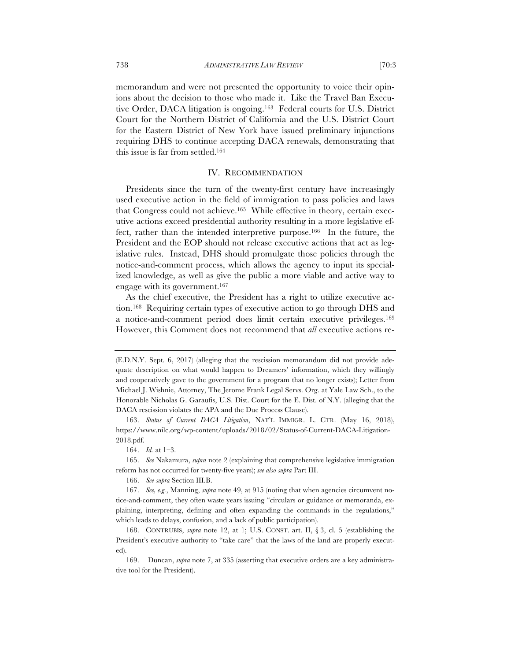memorandum and were not presented the opportunity to voice their opinions about the decision to those who made it. Like the Travel Ban Executive Order, DACA litigation is ongoing.163 Federal courts for U.S. District Court for the Northern District of California and the U.S. District Court for the Eastern District of New York have issued preliminary injunctions requiring DHS to continue accepting DACA renewals, demonstrating that this issue is far from settled.164

#### IV. RECOMMENDATION

Presidents since the turn of the twenty-first century have increasingly used executive action in the field of immigration to pass policies and laws that Congress could not achieve.165 While effective in theory, certain executive actions exceed presidential authority resulting in a more legislative effect, rather than the intended interpretive purpose.166 In the future, the President and the EOP should not release executive actions that act as legislative rules. Instead, DHS should promulgate those policies through the notice-and-comment process, which allows the agency to input its specialized knowledge, as well as give the public a more viable and active way to engage with its government.167

As the chief executive, the President has a right to utilize executive action.168 Requiring certain types of executive action to go through DHS and a notice-and-comment period does limit certain executive privileges.169 However, this Comment does not recommend that *all* executive actions re-

164. *Id.* at 1–3.

165. *See* Nakamura, *supra* note 2 (explaining that comprehensive legislative immigration reform has not occurred for twenty-five years); *see also supra* Part III.

166. *See supra* Section III.B.

<sup>(</sup>E.D.N.Y. Sept. 6, 2017) (alleging that the rescission memorandum did not provide adequate description on what would happen to Dreamers' information, which they willingly and cooperatively gave to the government for a program that no longer exists); Letter from Michael J. Wishnie, Attorney, The Jerome Frank Legal Servs. Org. at Yale Law Sch., to the Honorable Nicholas G. Garaufis, U.S. Dist. Court for the E. Dist. of N.Y. (alleging that the DACA rescission violates the APA and the Due Process Clause).

<sup>163.</sup> *Status of Current DACA Litigation*, NAT'L IMMIGR. L. CTR. (May 16, 2018), https://www.nilc.org/wp-content/uploads/2018/02/Status-of-Current-DACA-Litigation-2018.pdf.

<sup>167.</sup> *See, e.g.*, Manning, *supra* note 49, at 915 (noting that when agencies circumvent notice-and-comment, they often waste years issuing "circulars or guidance or memoranda, explaining, interpreting, defining and often expanding the commands in the regulations," which leads to delays, confusion, and a lack of public participation).

<sup>168.</sup> CONTRUBIS, *supra* note 12, at 1; U.S. CONST. art. II, § 3, cl. 5 (establishing the President's executive authority to "take care" that the laws of the land are properly executed).

<sup>169.</sup> Duncan, *supra* note 7, at 335 (asserting that executive orders are a key administrative tool for the President).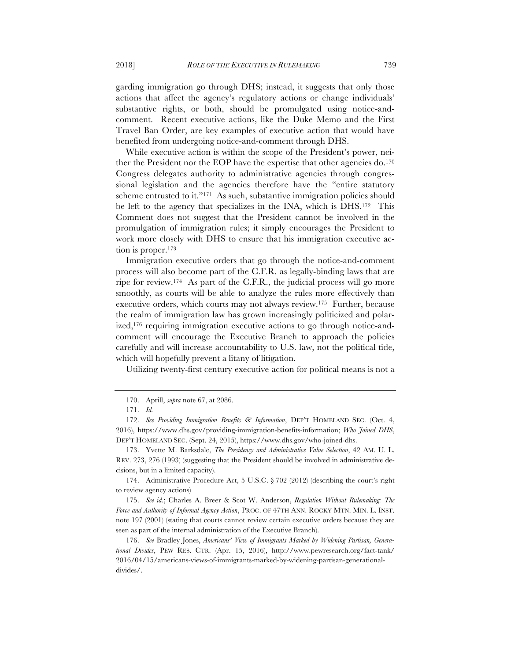garding immigration go through DHS; instead, it suggests that only those actions that affect the agency's regulatory actions or change individuals' substantive rights, or both, should be promulgated using notice-andcomment. Recent executive actions, like the Duke Memo and the First Travel Ban Order, are key examples of executive action that would have benefited from undergoing notice-and-comment through DHS.

While executive action is within the scope of the President's power, neither the President nor the EOP have the expertise that other agencies do.170 Congress delegates authority to administrative agencies through congressional legislation and the agencies therefore have the "entire statutory scheme entrusted to it."<sup>171</sup> As such, substantive immigration policies should be left to the agency that specializes in the INA, which is DHS.172 This Comment does not suggest that the President cannot be involved in the promulgation of immigration rules; it simply encourages the President to work more closely with DHS to ensure that his immigration executive action is proper.<sup>173</sup>

Immigration executive orders that go through the notice-and-comment process will also become part of the C.F.R. as legally-binding laws that are ripe for review.174 As part of the C.F.R., the judicial process will go more smoothly, as courts will be able to analyze the rules more effectively than executive orders, which courts may not always review.175 Further, because the realm of immigration law has grown increasingly politicized and polarized,<sup>176</sup> requiring immigration executive actions to go through notice-andcomment will encourage the Executive Branch to approach the policies carefully and will increase accountability to U.S. law, not the political tide, which will hopefully prevent a litany of litigation.

Utilizing twenty-first century executive action for political means is not a

<sup>170.</sup> Aprill, *supra* note 67, at 2086.

<sup>171.</sup> *Id.*

<sup>172.</sup> *See Providing Immigration Benefits & Information*, DEP'T HOMELAND SEC. (Oct. 4, 2016), https://www.dhs.gov/providing-immigration-benefits-information; *Who Joined DHS*, DEP'T HOMELAND SEC. (Sept. 24, 2015), https://www.dhs.gov/who-joined-dhs.

<sup>173.</sup> Yvette M. Barksdale, *The Presidency and Administrative Value Selection*, 42 AM. U. L. REV. 273, 276 (1993) (suggesting that the President should be involved in administrative decisions, but in a limited capacity).

<sup>174.</sup> Administrative Procedure Act, 5 U.S.C. § 702 (2012) (describing the court's right to review agency actions)

<sup>175.</sup> *See id.*; Charles A. Breer & Scot W. Anderson, *Regulation Without Rulemaking: The Force and Authority of Informal Agency Action*, PROC. OF 47TH ANN. ROCKY MTN. MIN. L. INST. note 197 (2001) (stating that courts cannot review certain executive orders because they are seen as part of the internal administration of the Executive Branch).

<sup>176.</sup> *See* Bradley Jones, *Americans' View of Immigrants Marked by Widening Partisan, Generational Divides*, PEW RES. CTR. (Apr. 15, 2016), http://www.pewresearch.org/fact-tank/ 2016/04/15/americans-views-of-immigrants-marked-by-widening-partisan-generationaldivides/.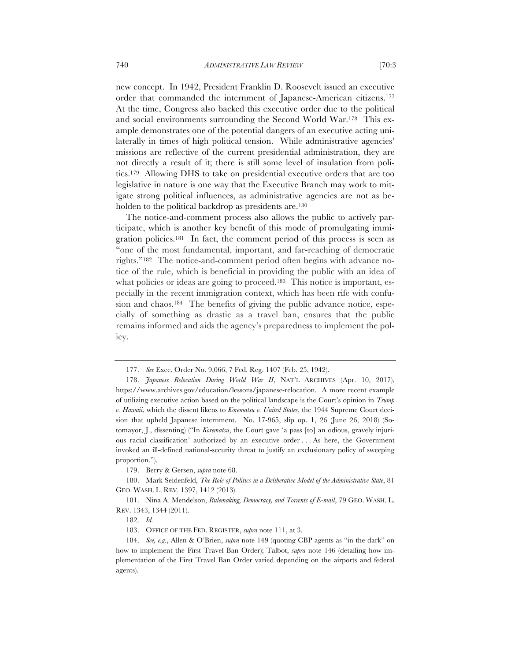new concept. In 1942, President Franklin D. Roosevelt issued an executive order that commanded the internment of Japanese-American citizens.177 At the time, Congress also backed this executive order due to the political and social environments surrounding the Second World War.178 This example demonstrates one of the potential dangers of an executive acting unilaterally in times of high political tension. While administrative agencies' missions are reflective of the current presidential administration, they are not directly a result of it; there is still some level of insulation from politics.179 Allowing DHS to take on presidential executive orders that are too legislative in nature is one way that the Executive Branch may work to mit-

igate strong political influences, as administrative agencies are not as be-

holden to the political backdrop as presidents are.<sup>180</sup>

The notice-and-comment process also allows the public to actively participate, which is another key benefit of this mode of promulgating immigration policies.181 In fact, the comment period of this process is seen as "one of the most fundamental, important, and far-reaching of democratic rights."182 The notice-and-comment period often begins with advance notice of the rule, which is beneficial in providing the public with an idea of what policies or ideas are going to proceed.<sup>183</sup> This notice is important, especially in the recent immigration context, which has been rife with confusion and chaos.<sup>184</sup> The benefits of giving the public advance notice, especially of something as drastic as a travel ban, ensures that the public remains informed and aids the agency's preparedness to implement the policy.

<sup>177.</sup> *See* Exec. Order No. 9,066, 7 Fed. Reg. 1407 (Feb. 25, 1942).

<sup>178.</sup> *Japanese Relocation During World War II*, NAT'L ARCHIVES (Apr. 10, 2017), https://www.archives.gov/education/lessons/japanese-relocation. A more recent example of utilizing executive action based on the political landscape is the Court's opinion in *Trump v. Hawaii*, which the dissent likens to *Korematsu v. United States*, the 1944 Supreme Court decision that upheld Japanese internment. No. 17-965, slip op. 1, 26 (June 26, 2018) (Sotomayor, J., dissenting) ("In *Korematsu*, the Court gave 'a pass [to] an odious, gravely injurious racial classification' authorized by an executive order . . . As here, the Government invoked an ill-defined national-security threat to justify an exclusionary policy of sweeping proportion.").

<sup>179.</sup> Berry & Gersen, *supra* note 68.

<sup>180.</sup> Mark Seidenfeld, *The Role of Politics in a Deliberative Model of the Administrative State*, 81 GEO. WASH. L. REV. 1397, 1412 (2013).

<sup>181.</sup> Nina A. Mendelson, *Rulemaking, Democracy, and Torrents of E-mail*, 79 GEO. WASH. L. REV. 1343, 1344 (2011).

<sup>182.</sup> *Id.*

<sup>183.</sup> OFFICE OF THE FED. REGISTER, *supra* note 111, at 3.

<sup>184.</sup> *See, e.g.*, Allen & O'Brien, *supra* note 149 (quoting CBP agents as "in the dark" on how to implement the First Travel Ban Order); Talbot, *supra* note 146 (detailing how implementation of the First Travel Ban Order varied depending on the airports and federal agents).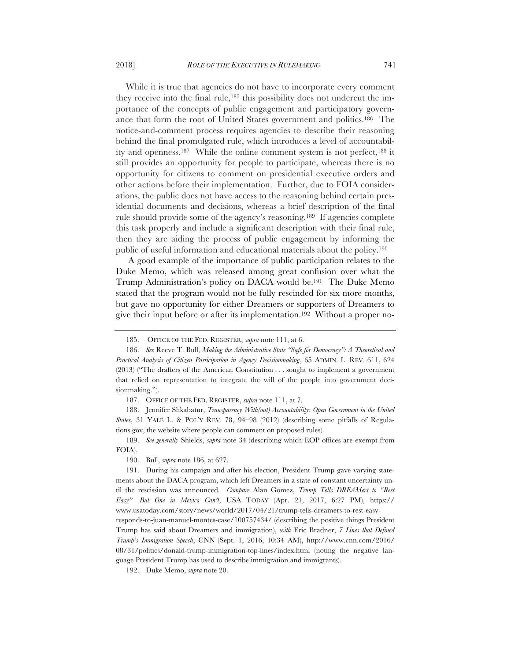While it is true that agencies do not have to incorporate every comment

they receive into the final rule,<sup>185</sup> this possibility does not undercut the importance of the concepts of public engagement and participatory governance that form the root of United States government and politics.186 The notice-and-comment process requires agencies to describe their reasoning behind the final promulgated rule, which introduces a level of accountability and openness.187 While the online comment system is not perfect,188 it still provides an opportunity for people to participate, whereas there is no opportunity for citizens to comment on presidential executive orders and other actions before their implementation. Further, due to FOIA considerations, the public does not have access to the reasoning behind certain presidential documents and decisions, whereas a brief description of the final rule should provide some of the agency's reasoning.189 If agencies complete this task properly and include a significant description with their final rule, then they are aiding the process of public engagement by informing the public of useful information and educational materials about the policy.190

A good example of the importance of public participation relates to the Duke Memo, which was released among great confusion over what the Trump Administration's policy on DACA would be.191 The Duke Memo stated that the program would not be fully rescinded for six more months, but gave no opportunity for either Dreamers or supporters of Dreamers to give their input before or after its implementation.192 Without a proper no-

187. OFFICE OF THE FED. REGISTER, *supra* note 111, at 7.

188. Jennifer Shkabatur, *Transparency With(out) Accountability: Open Government in the United States*, 31 YALE L. & POL'Y REV. 78, 94–98 (2012) (describing some pitfalls of Regulations.gov, the website where people can comment on proposed rules).

189. *See generally* Shields, *supra* note 34 (describing which EOP offices are exempt from FOIA).

190. Bull, *supra* note 186, at 627.

191. During his campaign and after his election, President Trump gave varying statements about the DACA program, which left Dreamers in a state of constant uncertainty until the rescission was announced. *Compare* Alan Gomez, *Trump Tells DREAMers to "Rest Easy"—But One in Mexico Can't*, USA TODAY (Apr. 21, 2017, 6:27 PM), https:// www.usatoday.com/story/news/world/2017/04/21/trump-tells-dreamers-to-rest-easy-

responds-to-juan-manuel-montes-case/100757434/ (describing the positive things President Trump has said about Dreamers and immigration), *with* Eric Bradner, *7 Lines that Defined Trump's Immigration Speech*, CNN (Sept. 1, 2016, 10:34 AM), http://www.cnn.com/2016/ 08/31/politics/donald-trump-immigration-top-lines/index.html (noting the negative language President Trump has used to describe immigration and immigrants).

192. Duke Memo, *supra* note 20.

<sup>185.</sup> OFFICE OF THE FED. REGISTER, *supra* note 111, at 6.

<sup>186.</sup> *See* Reeve T. Bull, *Making the Administrative State "Safe for Democracy": A Theoretical and Practical Analysis of Citizen Participation in Agency Decisionmaking*, 65 ADMIN. L. REV. 611, 624 (2013) ("The drafters of the American Constitution . . . sought to implement a government that relied on representation to integrate the will of the people into government decisionmaking.").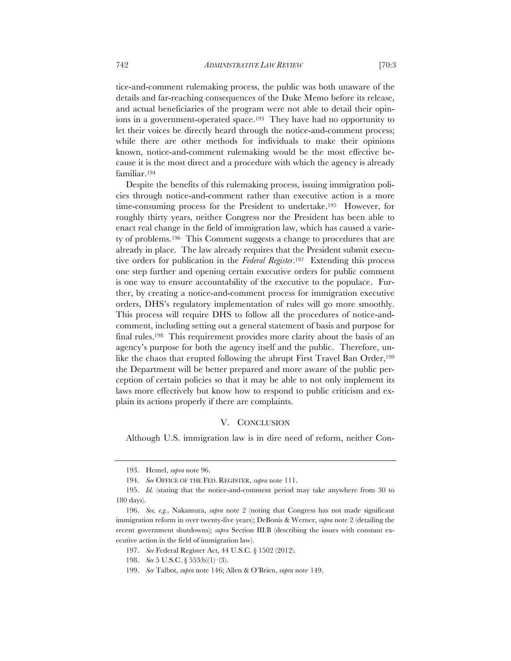tice-and-comment rulemaking process, the public was both unaware of the details and far-reaching consequences of the Duke Memo before its release, and actual beneficiaries of the program were not able to detail their opinions in a government-operated space.193 They have had no opportunity to let their voices be directly heard through the notice-and-comment process; while there are other methods for individuals to make their opinions known, notice-and-comment rulemaking would be the most effective because it is the most direct and a procedure with which the agency is already familiar.194

Despite the benefits of this rulemaking process, issuing immigration policies through notice-and-comment rather than executive action is a more time-consuming process for the President to undertake.195 However, for roughly thirty years, neither Congress nor the President has been able to enact real change in the field of immigration law, which has caused a variety of problems.196 This Comment suggests a change to procedures that are already in place. The law already requires that the President submit executive orders for publication in the *Federal Register*.197 Extending this process one step further and opening certain executive orders for public comment is one way to ensure accountability of the executive to the populace. Further, by creating a notice-and-comment process for immigration executive orders, DHS's regulatory implementation of rules will go more smoothly. This process will require DHS to follow all the procedures of notice-andcomment, including setting out a general statement of basis and purpose for final rules.198 This requirement provides more clarity about the basis of an agency's purpose for both the agency itself and the public. Therefore, unlike the chaos that erupted following the abrupt First Travel Ban Order,<sup>199</sup> the Department will be better prepared and more aware of the public perception of certain policies so that it may be able to not only implement its laws more effectively but know how to respond to public criticism and explain its actions properly if there are complaints.

# V. CONCLUSION

Although U.S. immigration law is in dire need of reform, neither Con-

<sup>193.</sup> Hemel, *supra* note 96.

<sup>194.</sup> *See* OFFICE OF THE FED. REGISTER, *supra* note 111.

<sup>195.</sup> *Id.* (stating that the notice-and-comment period may take anywhere from 30 to 180 days).

<sup>196.</sup> *See, e.g.*, Nakamura, *supra* note 2 (noting that Congress has not made significant immigration reform in over twenty-five years); DeBonis & Werner, *supra* note 2 (detailing the recent government shutdowns); *supra* Section III.B (describing the issues with constant executive action in the field of immigration law).

<sup>197.</sup> *See* Federal Register Act, 44 U.S.C. § 1502 (2012).

<sup>198.</sup> *See* 5 U.S.C. § 553(b)(1)–(3).

<sup>199.</sup> *See* Talbot, *supra* note 146; Allen & O'Brien, *supra* note 149.